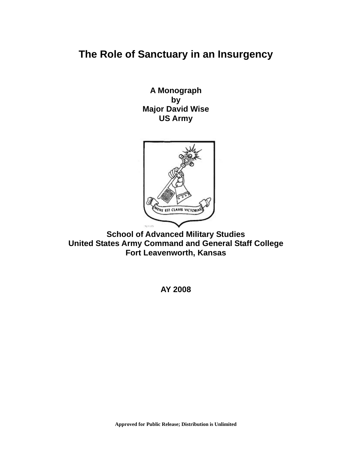# **The Role of Sanctuary in an Insurgency**

**A Monograph by Major David Wise US Army** 



**School of Advanced Military Studies United States Army Command and General Staff College Fort Leavenworth, Kansas** 

**AY 2008**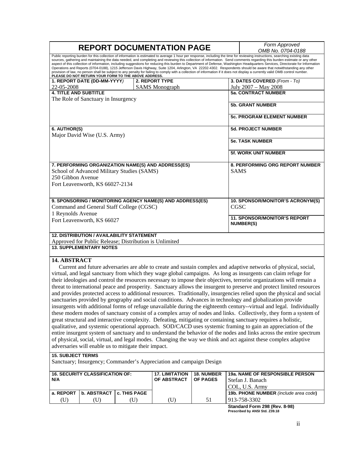|                                                                                                                                                                                                                                                                                                                                                                                                                                                                                                                                                                                                                                                                                                                                                                                                                                                                                                                                                                                                                                                                                                                                                                                                                                                                                                                                                                                                                                                                                                                                      |                             |              |                                      |                               |                                                 | Form Approved                                                         |  |  |
|--------------------------------------------------------------------------------------------------------------------------------------------------------------------------------------------------------------------------------------------------------------------------------------------------------------------------------------------------------------------------------------------------------------------------------------------------------------------------------------------------------------------------------------------------------------------------------------------------------------------------------------------------------------------------------------------------------------------------------------------------------------------------------------------------------------------------------------------------------------------------------------------------------------------------------------------------------------------------------------------------------------------------------------------------------------------------------------------------------------------------------------------------------------------------------------------------------------------------------------------------------------------------------------------------------------------------------------------------------------------------------------------------------------------------------------------------------------------------------------------------------------------------------------|-----------------------------|--------------|--------------------------------------|-------------------------------|-------------------------------------------------|-----------------------------------------------------------------------|--|--|
| <b>REPORT DOCUMENTATION PAGE</b>                                                                                                                                                                                                                                                                                                                                                                                                                                                                                                                                                                                                                                                                                                                                                                                                                                                                                                                                                                                                                                                                                                                                                                                                                                                                                                                                                                                                                                                                                                     |                             |              |                                      |                               |                                                 | OMB No. 0704-0188                                                     |  |  |
| Public reporting burden for this collection of information is estimated to average 1 hour per response, including the time for reviewing instructions, searching existing data<br>sources, gathering and maintaining the data needed, and completing and reviewing this collection of information. Send comments regarding this burden estimate or any other<br>aspect of this collection of information, including suggestions for reducing this burden to Department of Defense, Washington Headquarters Services, Directorate for Information<br>Operations and Reports (0704-0188), 1215 Jefferson Davis Highway, Suite 1204, Arlington, VA 22202-4302. Respondents should be aware that notwithstanding any other<br>provision of law, no person shall be subject to any penalty for failing to comply with a collection of information if it does not display a currently valid OMB control number.<br>PLEASE DO NOT RETURN YOUR FORM TO THE ABOVE ADDRESS.                                                                                                                                                                                                                                                                                                                                                                                                                                                                                                                                                                    |                             |              |                                      |                               |                                                 |                                                                       |  |  |
|                                                                                                                                                                                                                                                                                                                                                                                                                                                                                                                                                                                                                                                                                                                                                                                                                                                                                                                                                                                                                                                                                                                                                                                                                                                                                                                                                                                                                                                                                                                                      | 1. REPORT DATE (DD-MM-YYYY) |              | 2. REPORT TYPE                       |                               |                                                 | 3. DATES COVERED (From - To)                                          |  |  |
| 22-05-2008                                                                                                                                                                                                                                                                                                                                                                                                                                                                                                                                                                                                                                                                                                                                                                                                                                                                                                                                                                                                                                                                                                                                                                                                                                                                                                                                                                                                                                                                                                                           |                             |              | <b>SAMS</b> Monograph                |                               | July 2007 - May 2008                            |                                                                       |  |  |
| <b>4. TITLE AND SUBTITLE</b>                                                                                                                                                                                                                                                                                                                                                                                                                                                                                                                                                                                                                                                                                                                                                                                                                                                                                                                                                                                                                                                                                                                                                                                                                                                                                                                                                                                                                                                                                                         |                             |              |                                      |                               |                                                 | <b>5a. CONTRACT NUMBER</b>                                            |  |  |
| The Role of Sanctuary in Insurgency                                                                                                                                                                                                                                                                                                                                                                                                                                                                                                                                                                                                                                                                                                                                                                                                                                                                                                                                                                                                                                                                                                                                                                                                                                                                                                                                                                                                                                                                                                  |                             |              |                                      |                               |                                                 | <b>5b. GRANT NUMBER</b>                                               |  |  |
|                                                                                                                                                                                                                                                                                                                                                                                                                                                                                                                                                                                                                                                                                                                                                                                                                                                                                                                                                                                                                                                                                                                                                                                                                                                                                                                                                                                                                                                                                                                                      |                             |              |                                      |                               |                                                 | <b>5c. PROGRAM ELEMENT NUMBER</b>                                     |  |  |
| 6. AUTHOR(S)                                                                                                                                                                                                                                                                                                                                                                                                                                                                                                                                                                                                                                                                                                                                                                                                                                                                                                                                                                                                                                                                                                                                                                                                                                                                                                                                                                                                                                                                                                                         |                             |              |                                      |                               |                                                 | <b>5d. PROJECT NUMBER</b>                                             |  |  |
| Major David Wise (U.S. Army)                                                                                                                                                                                                                                                                                                                                                                                                                                                                                                                                                                                                                                                                                                                                                                                                                                                                                                                                                                                                                                                                                                                                                                                                                                                                                                                                                                                                                                                                                                         |                             |              |                                      |                               |                                                 | <b>5e. TASK NUMBER</b>                                                |  |  |
|                                                                                                                                                                                                                                                                                                                                                                                                                                                                                                                                                                                                                                                                                                                                                                                                                                                                                                                                                                                                                                                                                                                                                                                                                                                                                                                                                                                                                                                                                                                                      |                             |              |                                      |                               |                                                 |                                                                       |  |  |
|                                                                                                                                                                                                                                                                                                                                                                                                                                                                                                                                                                                                                                                                                                                                                                                                                                                                                                                                                                                                                                                                                                                                                                                                                                                                                                                                                                                                                                                                                                                                      |                             |              |                                      |                               |                                                 | <b>5f. WORK UNIT NUMBER</b>                                           |  |  |
| 7. PERFORMING ORGANIZATION NAME(S) AND ADDRESS(ES)<br>School of Advanced Military Studies (SAMS)<br>250 Gibbon Avenue<br>Fort Leavenworth, KS 66027-2134                                                                                                                                                                                                                                                                                                                                                                                                                                                                                                                                                                                                                                                                                                                                                                                                                                                                                                                                                                                                                                                                                                                                                                                                                                                                                                                                                                             |                             |              |                                      |                               | <b>SAMS</b>                                     | 8. PERFORMING ORG REPORT NUMBER                                       |  |  |
| 9. SPONSORING / MONITORING AGENCY NAME(S) AND ADDRESS(ES)<br>Command and General Staff College (CGSC)<br>1 Reynolds Avenue                                                                                                                                                                                                                                                                                                                                                                                                                                                                                                                                                                                                                                                                                                                                                                                                                                                                                                                                                                                                                                                                                                                                                                                                                                                                                                                                                                                                           |                             |              |                                      |                               | 10. SPONSOR/MONITOR'S ACRONYM(S)<br><b>CGSC</b> |                                                                       |  |  |
| Fort Leavenworth, KS 66027                                                                                                                                                                                                                                                                                                                                                                                                                                                                                                                                                                                                                                                                                                                                                                                                                                                                                                                                                                                                                                                                                                                                                                                                                                                                                                                                                                                                                                                                                                           |                             |              |                                      |                               |                                                 | <b>11. SPONSOR/MONITOR'S REPORT</b><br><b>NUMBER(S)</b>               |  |  |
| <b>12. DISTRIBUTION / AVAILABILITY STATEMENT</b>                                                                                                                                                                                                                                                                                                                                                                                                                                                                                                                                                                                                                                                                                                                                                                                                                                                                                                                                                                                                                                                                                                                                                                                                                                                                                                                                                                                                                                                                                     |                             |              |                                      |                               |                                                 |                                                                       |  |  |
| Approved for Public Release; Distribution is Unlimited<br><b>13. SUPPLEMENTARY NOTES</b>                                                                                                                                                                                                                                                                                                                                                                                                                                                                                                                                                                                                                                                                                                                                                                                                                                                                                                                                                                                                                                                                                                                                                                                                                                                                                                                                                                                                                                             |                             |              |                                      |                               |                                                 |                                                                       |  |  |
|                                                                                                                                                                                                                                                                                                                                                                                                                                                                                                                                                                                                                                                                                                                                                                                                                                                                                                                                                                                                                                                                                                                                                                                                                                                                                                                                                                                                                                                                                                                                      |                             |              |                                      |                               |                                                 |                                                                       |  |  |
| 14. ABSTRACT<br>Current and future adversaries are able to create and sustain complex and adaptive networks of physical, social,<br>virtual, and legal sanctuary from which they wage global campaigns. As long as insurgents can claim refuge for<br>their ideologies and control the resources necessary to impose their objectives, terrorist organizations will remain a<br>threat to international peace and prosperity. Sanctuary allows the insurgent to preserve and protect limited resources<br>and provides protected access to additional resources. Traditionally, insurgencies relied upon the physical and social<br>sanctuaries provided by geography and social conditions. Advances in technology and globalization provide<br>insurgents with additional forms of refuge unavailable during the eighteenth century--virtual and legal. Individually<br>these modern modes of sanctuary consist of a complex array of nodes and links. Collectively, they form a system of<br>great structural and interactive complexity. Defeating, mitigating or containing sanctuary requires a holistic,<br>qualitative, and systemic operational approach. SOD/CACD uses systemic framing to gain an appreciation of the<br>entire insurgent system of sanctuary and to understand the behavior of the nodes and links across the entire spectrum<br>of physical, social, virtual, and legal modes. Changing the way we think and act against these complex adaptive<br>adversaries will enable us to mitigate their impact. |                             |              |                                      |                               |                                                 |                                                                       |  |  |
| <b>15. SUBJECT TERMS</b><br>Sanctuary; Insurgency; Commander's Appreciation and campaign Design                                                                                                                                                                                                                                                                                                                                                                                                                                                                                                                                                                                                                                                                                                                                                                                                                                                                                                                                                                                                                                                                                                                                                                                                                                                                                                                                                                                                                                      |                             |              |                                      |                               |                                                 |                                                                       |  |  |
| <b>16. SECURITY CLASSIFICATION OF:</b><br>N/A                                                                                                                                                                                                                                                                                                                                                                                                                                                                                                                                                                                                                                                                                                                                                                                                                                                                                                                                                                                                                                                                                                                                                                                                                                                                                                                                                                                                                                                                                        |                             |              | <b>17. LIMITATION</b><br>OF ABSTRACT | 18. NUMBER<br><b>OF PAGES</b> |                                                 | 19a. NAME OF RESPONSIBLE PERSON<br>Stefan J. Banach<br>COL, U.S. Army |  |  |
| a. REPORT                                                                                                                                                                                                                                                                                                                                                                                                                                                                                                                                                                                                                                                                                                                                                                                                                                                                                                                                                                                                                                                                                                                                                                                                                                                                                                                                                                                                                                                                                                                            | <b>b. ABSTRACT</b>          | c. THIS PAGE |                                      |                               |                                                 | 19b. PHONE NUMBER (include area code)                                 |  |  |
| (U)                                                                                                                                                                                                                                                                                                                                                                                                                                                                                                                                                                                                                                                                                                                                                                                                                                                                                                                                                                                                                                                                                                                                                                                                                                                                                                                                                                                                                                                                                                                                  | (U)                         | (U)          | (U)                                  | 51                            |                                                 | 913-758-3302                                                          |  |  |

**Standard Form 298 (Rev. 8-98) Prescribed by ANSI Std. Z39.18**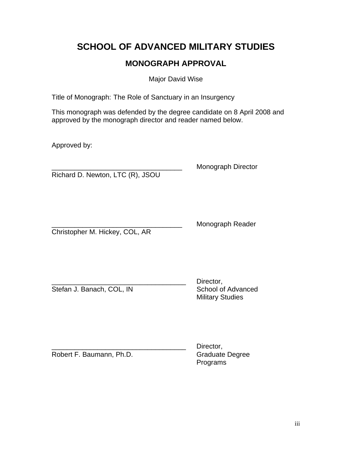# **SCHOOL OF ADVANCED MILITARY STUDIES**

# **MONOGRAPH APPROVAL**

Major David Wise

Title of Monograph: The Role of Sanctuary in an Insurgency

This monograph was defended by the degree candidate on 8 April 2008 and approved by the monograph director and reader named below.

Approved by:

Richard D. Newton, LTC (R), JSOU

\_\_\_\_\_\_\_\_\_\_\_\_\_\_\_\_\_\_\_\_\_\_\_\_\_\_\_\_\_\_\_\_\_\_ Monograph Director

Christopher M. Hickey, COL, AR

Monograph Reader

Stefan J. Banach, COL, IN School of Advanced

Director, Military Studies

Robert F. Baumann, Ph.D. Graduate Degree

Director, Programs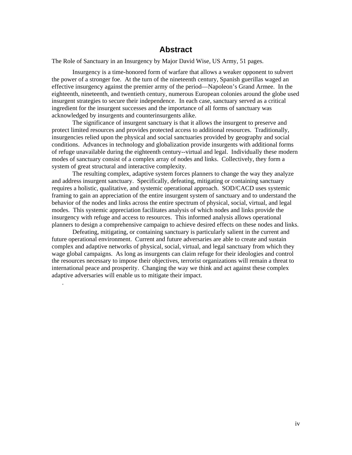# **Abstract**

The Role of Sanctuary in an Insurgency by Major David Wise, US Army, 51 pages.

Insurgency is a time-honored form of warfare that allows a weaker opponent to subvert the power of a stronger foe. At the turn of the nineteenth century, Spanish guerillas waged an effective insurgency against the premier army of the period—Napoleon's Grand Armee. In the eighteenth, nineteenth, and twentieth century, numerous European colonies around the globe used insurgent strategies to secure their independence. In each case, sanctuary served as a critical ingredient for the insurgent successes and the importance of all forms of sanctuary was acknowledged by insurgents and counterinsurgents alike.

The significance of insurgent sanctuary is that it allows the insurgent to preserve and protect limited resources and provides protected access to additional resources. Traditionally, insurgencies relied upon the physical and social sanctuaries provided by geography and social conditions. Advances in technology and globalization provide insurgents with additional forms of refuge unavailable during the eighteenth century--virtual and legal. Individually these modern modes of sanctuary consist of a complex array of nodes and links. Collectively, they form a system of great structural and interactive complexity.

The resulting complex, adaptive system forces planners to change the way they analyze and address insurgent sanctuary. Specifically, defeating, mitigating or containing sanctuary requires a holistic, qualitative, and systemic operational approach. SOD/CACD uses systemic framing to gain an appreciation of the entire insurgent system of sanctuary and to understand the behavior of the nodes and links across the entire spectrum of physical, social, virtual, and legal modes. This systemic appreciation facilitates analysis of which nodes and links provide the insurgency with refuge and access to resources. This informed analysis allows operational planners to design a comprehensive campaign to achieve desired effects on these nodes and links.

 Defeating, mitigating, or containing sanctuary is particularly salient in the current and future operational environment. Current and future adversaries are able to create and sustain complex and adaptive networks of physical, social, virtual, and legal sanctuary from which they wage global campaigns. As long as insurgents can claim refuge for their ideologies and control the resources necessary to impose their objectives, terrorist organizations will remain a threat to international peace and prosperity. Changing the way we think and act against these complex adaptive adversaries will enable us to mitigate their impact.

.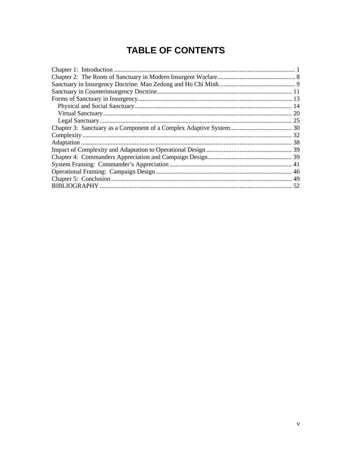# **TABLE OF CONTENTS**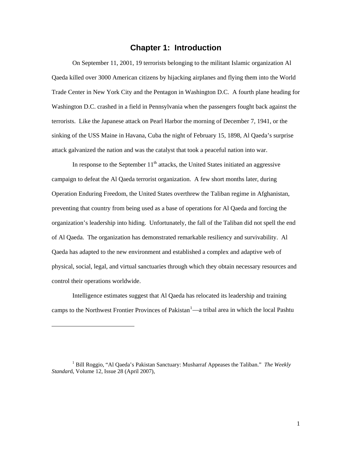## **Chapter 1: Introduction**

<span id="page-5-0"></span>On September 11, 2001, 19 terrorists belonging to the militant Islamic organization Al Qaeda killed over 3000 American citizens by hijacking airplanes and flying them into the World Trade Center in New York City and the Pentagon in Washington D.C. A fourth plane heading for Washington D.C. crashed in a field in Pennsylvania when the passengers fought back against the terrorists. Like the Japanese attack on Pearl Harbor the morning of December 7, 1941, or the sinking of the USS Maine in Havana, Cuba the night of February 15, 1898, Al Qaeda's surprise attack galvanized the nation and was the catalyst that took a peaceful nation into war.

In response to the September  $11<sup>th</sup>$  attacks, the United States initiated an aggressive campaign to defeat the Al Qaeda terrorist organization. A few short months later, during Operation Enduring Freedom, the United States overthrew the Taliban regime in Afghanistan, preventing that country from being used as a base of operations for Al Qaeda and forcing the organization's leadership into hiding. Unfortunately, the fall of the Taliban did not spell the end of Al Qaeda. The organization has demonstrated remarkable resiliency and survivability. Al Qaeda has adapted to the new environment and established a complex and adaptive web of physical, social, legal, and virtual sanctuaries through which they obtain necessary resources and control their operations worldwide.

Intelligence estimates suggest that Al Qaeda has relocated its leadership and training camps to the Northwest Frontier Provinces of Pakistan<sup>[1](#page-5-1)</sup>—a tribal area in which the local Pashtu

<span id="page-5-1"></span><sup>&</sup>lt;sup>1</sup> Bill Roggio, "Al Qaeda's Pakistan Sanctuary: Musharraf Appeases the Taliban." *The Weekly Standar*d, Volume 12, Issue 28 (April 2007),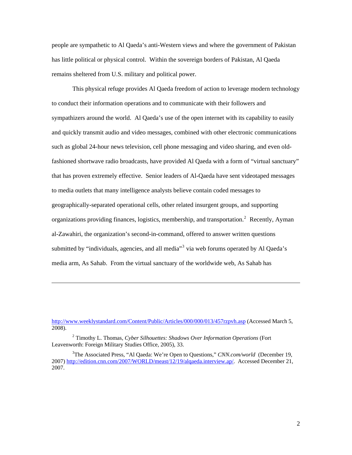people are sympathetic to Al Qaeda's anti-Western views and where the government of Pakistan has little political or physical control. Within the sovereign borders of Pakistan, Al Qaeda remains sheltered from U.S. military and political power.

This physical refuge provides Al Qaeda freedom of action to leverage modern technology to conduct their information operations and to communicate with their followers and sympathizers around the world. Al Qaeda's use of the open internet with its capability to easily and quickly transmit audio and video messages, combined with other electronic communications such as global 24-hour news television, cell phone messaging and video sharing, and even oldfashioned shortwave radio broadcasts, have provided Al Qaeda with a form of "virtual sanctuary" that has proven extremely effective. Senior leaders of Al-Qaeda have sent videotaped messages to media outlets that many intelligence analysts believe contain coded messages to geographically-separated operational cells, other related insurgent groups, and supporting organizations providing finances, logistics, membership, and transportation.<sup>[2](#page-6-0)</sup> Recently, Ayman al-Zawahiri, the organization's second-in-command, offered to answer written questions submitted by "individuals, agencies, and all media" $3$  via web forums operated by Al Qaeda's media arm, As Sahab. From the virtual sanctuary of the worldwide web, As Sahab has

<http://www.weeklystandard.com/Content/Public/Articles/000/000/013/457rzpvh.asp> (Accessed March 5, 2008).

<span id="page-6-0"></span><sup>2</sup> Timothy L. Thomas, *Cyber Silhouettes: Shadows Over Information Operations* (Fort Leavenworth: Foreign Military Studies Office, 2005), 33.

<span id="page-6-1"></span><sup>3</sup> The Associated Press, "Al Qaeda: We're Open to Questions," *CNN.com/world* (December 19, 2007) <http://edition.cnn.com/2007/WORLD/meast/12/19/alqaeda.interview.ap/>. Accessed December 21, 2007.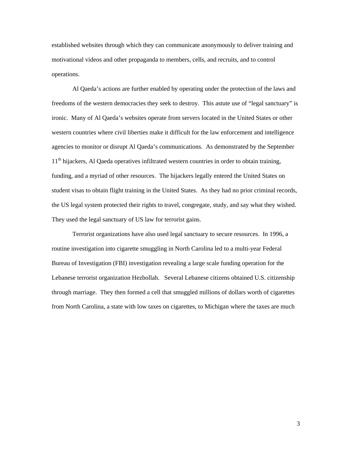established websites through which they can communicate anonymously to deliver training and motivational videos and other propaganda to members, cells, and recruits, and to control operations.

Al Qaeda's actions are further enabled by operating under the protection of the laws and freedoms of the western democracies they seek to destroy. This astute use of "legal sanctuary" is ironic. Many of Al Qaeda's websites operate from servers located in the United States or other western countries where civil liberties make it difficult for the law enforcement and intelligence agencies to monitor or disrupt Al Qaeda's communications. As demonstrated by the September 11<sup>th</sup> hijackers, Al Qaeda operatives infiltrated western countries in order to obtain training, funding, and a myriad of other resources. The hijackers legally entered the United States on student visas to obtain flight training in the United States. As they had no prior criminal records, the US legal system protected their rights to travel, congregate, study, and say what they wished. They used the legal sanctuary of US law for terrorist gains.

Terrorist organizations have also used legal sanctuary to secure resources. In 1996, a routine investigation into cigarette smuggling in North Carolina led to a multi-year Federal Bureau of Investigation (FBI) investigation revealing a large scale funding operation for the Lebanese terrorist organization Hezbollah. Several Lebanese citizens obtained U.S. citizenship through marriage. They then formed a cell that smuggled millions of dollars worth of cigarettes from North Carolina, a state with low taxes on cigarettes, to Michigan where the taxes are much

3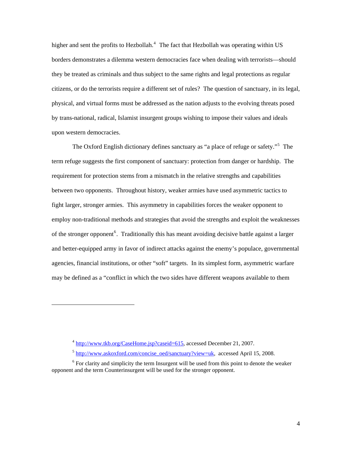higher and sent the profits to Hezbollah.<sup>[4](#page-8-0)</sup> The fact that Hezbollah was operating within US borders demonstrates a dilemma western democracies face when dealing with terrorists—should they be treated as criminals and thus subject to the same rights and legal protections as regular citizens, or do the terrorists require a different set of rules? The question of sanctuary, in its legal, physical, and virtual forms must be addressed as the nation adjusts to the evolving threats posed by trans-national, radical, Islamist insurgent groups wishing to impose their values and ideals upon western democracies.

The Oxford English dictionary defines sanctuary as "a place of refuge or safety."<sup>[5](#page-8-1)</sup> The term refuge suggests the first component of sanctuary: protection from danger or hardship. The requirement for protection stems from a mismatch in the relative strengths and capabilities between two opponents. Throughout history, weaker armies have used asymmetric tactics to fight larger, stronger armies. This asymmetry in capabilities forces the weaker opponent to employ non-traditional methods and strategies that avoid the strengths and exploit the weaknesses of the stronger opponent<sup>[6](#page-8-2)</sup>. Traditionally this has meant avoiding decisive battle against a larger and better-equipped army in favor of indirect attacks against the enemy's populace, governmental agencies, financial institutions, or other "soft" targets. In its simplest form, asymmetric warfare may be defined as a "conflict in which the two sides have different weapons available to them

<sup>4</sup> <http://www.tkb.org/CaseHome.jsp?caseid=615>, accessed December 21, 2007.

<sup>5</sup> [http://www.askoxford.com/concise\\_oed/sanctuary?view=uk](http://www.askoxford.com/concise_oed/sanctuary?view=uk), accessed April 15, 2008.

<span id="page-8-2"></span><span id="page-8-1"></span><span id="page-8-0"></span> $6$  For clarity and simplicity the term Insurgent will be used from this point to denote the weaker opponent and the term Counterinsurgent will be used for the stronger opponent.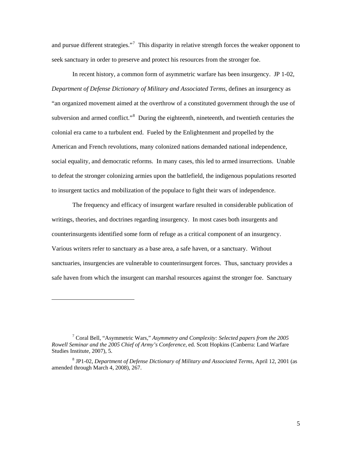and pursue different strategies."<sup>[7](#page-9-0)</sup> This disparity in relative strength forces the weaker opponent to seek sanctuary in order to preserve and protect his resources from the stronger foe.

In recent history, a common form of asymmetric warfare has been insurgency. JP 1-02, *Department of Defense Dictionary of Military and Associated Terms*, defines an insurgency as "an organized movement aimed at the overthrow of a constituted government through the use of subversion and armed conflict."<sup>[8](#page-9-1)</sup> During the eighteenth, nineteenth, and twentieth centuries the colonial era came to a turbulent end. Fueled by the Enlightenment and propelled by the American and French revolutions, many colonized nations demanded national independence, social equality, and democratic reforms. In many cases, this led to armed insurrections. Unable to defeat the stronger colonizing armies upon the battlefield, the indigenous populations resorted to insurgent tactics and mobilization of the populace to fight their wars of independence.

The frequency and efficacy of insurgent warfare resulted in considerable publication of writings, theories, and doctrines regarding insurgency. In most cases both insurgents and counterinsurgents identified some form of refuge as a critical component of an insurgency. Various writers refer to sanctuary as a base area, a safe haven, or a sanctuary. Without sanctuaries, insurgencies are vulnerable to counterinsurgent forces. Thus, sanctuary provides a safe haven from which the insurgent can marshal resources against the stronger foe. Sanctuary

<span id="page-9-0"></span><sup>7</sup> Coral Bell, "Asymmetric Wars," *Asymmetry and Complexity: Selected papers from the 2005 Rowell Seminar and the 2005 Chief of Army's Conference*, ed. Scott Hopkins (Canberra: Land Warfare Studies Institute, 2007), 5.

<span id="page-9-1"></span><sup>8</sup> JP1-02, *Department of Defense Dictionary of Military and Associated Terms*, April 12, 2001 (as amended through March 4, 2008), 267.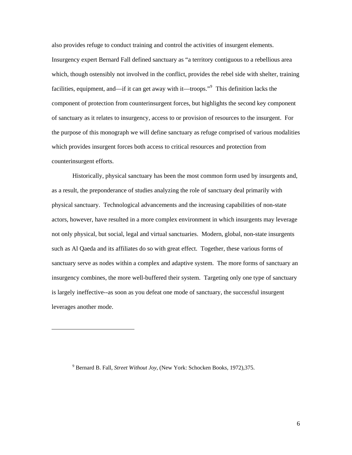also provides refuge to conduct training and control the activities of insurgent elements. Insurgency expert Bernard Fall defined sanctuary as "a territory contiguous to a rebellious area which, though ostensibly not involved in the conflict, provides the rebel side with shelter, training facilities, equipment, and—if it can get away with it—troops."<sup>[9](#page-10-0)</sup> This definition lacks the component of protection from counterinsurgent forces, but highlights the second key component of sanctuary as it relates to insurgency, access to or provision of resources to the insurgent. For the purpose of this monograph we will define sanctuary as refuge comprised of various modalities which provides insurgent forces both access to critical resources and protection from counterinsurgent efforts.

Historically, physical sanctuary has been the most common form used by insurgents and, as a result, the preponderance of studies analyzing the role of sanctuary deal primarily with physical sanctuary. Technological advancements and the increasing capabilities of non-state actors, however, have resulted in a more complex environment in which insurgents may leverage not only physical, but social, legal and virtual sanctuaries. Modern, global, non-state insurgents such as Al Qaeda and its affiliates do so with great effect. Together, these various forms of sanctuary serve as nodes within a complex and adaptive system. The more forms of sanctuary an insurgency combines, the more well-buffered their system. Targeting only one type of sanctuary is largely ineffective--as soon as you defeat one mode of sanctuary, the successful insurgent leverages another mode.

<span id="page-10-0"></span><sup>9</sup> Bernard B. Fall, *Street Without Joy*, (New York: Schocken Books, 1972),375.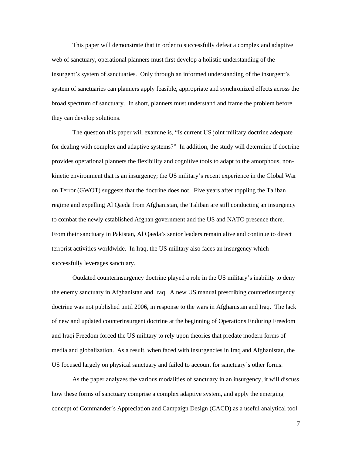This paper will demonstrate that in order to successfully defeat a complex and adaptive web of sanctuary, operational planners must first develop a holistic understanding of the insurgent's system of sanctuaries. Only through an informed understanding of the insurgent's system of sanctuaries can planners apply feasible, appropriate and synchronized effects across the broad spectrum of sanctuary. In short, planners must understand and frame the problem before they can develop solutions.

The question this paper will examine is, "Is current US joint military doctrine adequate for dealing with complex and adaptive systems?" In addition, the study will determine if doctrine provides operational planners the flexibility and cognitive tools to adapt to the amorphous, nonkinetic environment that is an insurgency; the US military's recent experience in the Global War on Terror (GWOT) suggests that the doctrine does not. Five years after toppling the Taliban regime and expelling Al Qaeda from Afghanistan, the Taliban are still conducting an insurgency to combat the newly established Afghan government and the US and NATO presence there. From their sanctuary in Pakistan, Al Qaeda's senior leaders remain alive and continue to direct terrorist activities worldwide. In Iraq, the US military also faces an insurgency which successfully leverages sanctuary.

Outdated counterinsurgency doctrine played a role in the US military's inability to deny the enemy sanctuary in Afghanistan and Iraq. A new US manual prescribing counterinsurgency doctrine was not published until 2006, in response to the wars in Afghanistan and Iraq. The lack of new and updated counterinsurgent doctrine at the beginning of Operations Enduring Freedom and Iraqi Freedom forced the US military to rely upon theories that predate modern forms of media and globalization. As a result, when faced with insurgencies in Iraq and Afghanistan, the US focused largely on physical sanctuary and failed to account for sanctuary's other forms.

As the paper analyzes the various modalities of sanctuary in an insurgency, it will discuss how these forms of sanctuary comprise a complex adaptive system, and apply the emerging concept of Commander's Appreciation and Campaign Design (CACD) as a useful analytical tool

7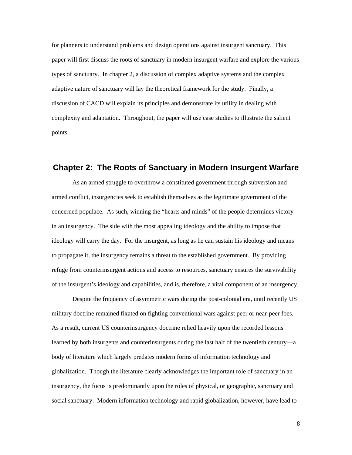<span id="page-12-0"></span>for planners to understand problems and design operations against insurgent sanctuary. This paper will first discuss the roots of sanctuary in modern insurgent warfare and explore the various types of sanctuary. In chapter 2, a discussion of complex adaptive systems and the complex adaptive nature of sanctuary will lay the theoretical framework for the study. Finally, a discussion of CACD will explain its principles and demonstrate its utility in dealing with complexity and adaptation. Throughout, the paper will use case studies to illustrate the salient points.

## **Chapter 2: The Roots of Sanctuary in Modern Insurgent Warfare**

As an armed struggle to overthrow a constituted government through subversion and armed conflict, insurgencies seek to establish themselves as the legitimate government of the concerned populace. As such, winning the "hearts and minds" of the people determines victory in an insurgency. The side with the most appealing ideology and the ability to impose that ideology will carry the day. For the insurgent, as long as he can sustain his ideology and means to propagate it, the insurgency remains a threat to the established government. By providing refuge from counterinsurgent actions and access to resources, sanctuary ensures the survivability of the insurgent's ideology and capabilities, and is, therefore, a vital component of an insurgency.

Despite the frequency of asymmetric wars during the post-colonial era, until recently US military doctrine remained fixated on fighting conventional wars against peer or near-peer foes. As a result, current US counterinsurgency doctrine relied heavily upon the recorded lessons learned by both insurgents and counterinsurgents during the last half of the twentieth century—a body of literature which largely predates modern forms of information technology and globalization. Though the literature clearly acknowledges the important role of sanctuary in an insurgency, the focus is predominantly upon the roles of physical, or geographic, sanctuary and social sanctuary. Modern information technology and rapid globalization, however, have lead to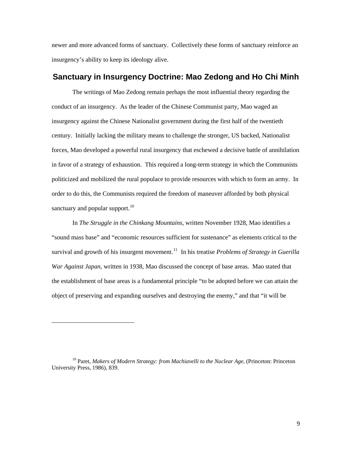<span id="page-13-0"></span>newer and more advanced forms of sanctuary. Collectively these forms of sanctuary reinforce an insurgency's ability to keep its ideology alive.

# **Sanctuary in Insurgency Doctrine: Mao Zedong and Ho Chi Minh**

The writings of Mao Zedong remain perhaps the most influential theory regarding the conduct of an insurgency. As the leader of the Chinese Communist party, Mao waged an insurgency against the Chinese Nationalist government during the first half of the twentieth century. Initially lacking the military means to challenge the stronger, US backed, Nationalist forces, Mao developed a powerful rural insurgency that eschewed a decisive battle of annihilation in favor of a strategy of exhaustion. This required a long-term strategy in which the Communists politicized and mobilized the rural populace to provide resources with which to form an army. In order to do this, the Communists required the freedom of maneuver afforded by both physical sanctuary and popular support. $10$ 

In *The Struggle in the Chinkang Mountains*, written November 1928, Mao identifies a "sound mass base" and "economic resources sufficient for sustenance" as elements critical to the survival and growth of his insurgent movement.<sup>[11](#page-13-2)</sup> In his treatise *Problems of Strategy in Guerilla War Against Japan*, written in 1938, Mao discussed the concept of base areas. Mao stated that the establishment of base areas is a fundamental principle "to be adopted before we can attain the object of preserving and expanding ourselves and destroying the enemy," and that "it will be

<span id="page-13-2"></span><span id="page-13-1"></span><sup>&</sup>lt;sup>10</sup> Paret, *Makers of Modern Strategy: from Machiavelli to the Nuclear Age*, (Princeton: Princeton University Press, 1986), 839.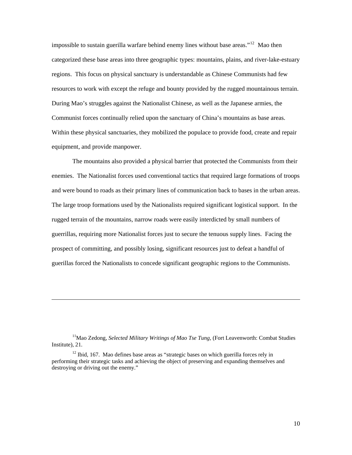impossible to sustain guerilla warfare behind enemy lines without base areas."<sup>[12](#page-14-0)</sup> Mao then categorized these base areas into three geographic types: mountains, plains, and river-lake-estuary regions. This focus on physical sanctuary is understandable as Chinese Communists had few resources to work with except the refuge and bounty provided by the rugged mountainous terrain. During Mao's struggles against the Nationalist Chinese, as well as the Japanese armies, the Communist forces continually relied upon the sanctuary of China's mountains as base areas. Within these physical sanctuaries, they mobilized the populace to provide food, create and repair equipment, and provide manpower.

The mountains also provided a physical barrier that protected the Communists from their enemies. The Nationalist forces used conventional tactics that required large formations of troops and were bound to roads as their primary lines of communication back to bases in the urban areas. The large troop formations used by the Nationalists required significant logistical support. In the rugged terrain of the mountains, narrow roads were easily interdicted by small numbers of guerrillas, requiring more Nationalist forces just to secure the tenuous supply lines. Facing the prospect of committing, and possibly losing, significant resources just to defeat a handful of guerillas forced the Nationalists to concede significant geographic regions to the Communists.

<sup>11</sup>Mao Zedong, *Selected Military Writings of Mao Tse Tung*, (Fort Leavenworth: Combat Studies Institute), 21.

<span id="page-14-0"></span><sup>12</sup> Ibid. 167. Mao defines base areas as "strategic bases on which guerilla forces rely in performing their strategic tasks and achieving the object of preserving and expanding themselves and destroying or driving out the enemy."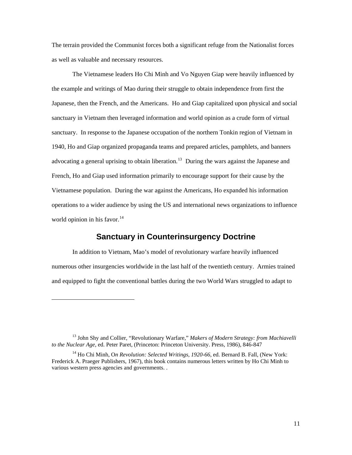<span id="page-15-0"></span>The terrain provided the Communist forces both a significant refuge from the Nationalist forces as well as valuable and necessary resources.

The Vietnamese leaders Ho Chi Minh and Vo Nguyen Giap were heavily influenced by the example and writings of Mao during their struggle to obtain independence from first the Japanese, then the French, and the Americans. Ho and Giap capitalized upon physical and social sanctuary in Vietnam then leveraged information and world opinion as a crude form of virtual sanctuary. In response to the Japanese occupation of the northern Tonkin region of Vietnam in 1940, Ho and Giap organized propaganda teams and prepared articles, pamphlets, and banners advocating a general uprising to obtain liberation.<sup>[13](#page-15-1)</sup> During the wars against the Japanese and French, Ho and Giap used information primarily to encourage support for their cause by the Vietnamese population. During the war against the Americans, Ho expanded his information operations to a wider audience by using the US and international news organizations to influence world opinion in his favor. $14$ 

# **Sanctuary in Counterinsurgency Doctrine**

In addition to Vietnam, Mao's model of revolutionary warfare heavily influenced numerous other insurgencies worldwide in the last half of the twentieth century. Armies trained and equipped to fight the conventional battles during the two World Wars struggled to adapt to

<span id="page-15-1"></span><sup>13</sup> John Shy and Collier, "Revolutionary Warfare," *Makers of Modern Strategy: from Machiavelli to the Nuclear Age*, ed. Peter Paret, (Princeton: Princeton University. Press, 1986), 846-847

<span id="page-15-2"></span><sup>&</sup>lt;sup>14</sup> Ho Chi Minh, On Revolution: Selected Writings, 1920-66, ed. Bernard B. Fall, (New York: Frederick A. Praeger Publishers, 1967), this book contains numerous letters written by Ho Chi Minh to various western press agencies and governments. .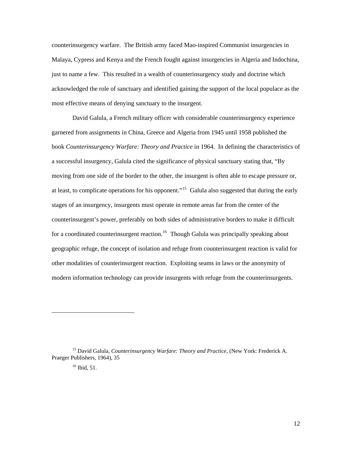counterinsurgency warfare. The British army faced Mao-inspired Communist insurgencies in Malaya, Cypress and Kenya and the French fought against insurgencies in Algeria and Indochina, just to name a few. This resulted in a wealth of counterinsurgency study and doctrine which acknowledged the role of sanctuary and identified gaining the support of the local populace as the most effective means of denying sanctuary to the insurgent.

David Galula, a French military officer with considerable counterinsurgency experience garnered from assignments in China, Greece and Algeria from 1945 until 1958 published the book *Counterinsurgency Warfare: Theory and Practice* in 1964. In defining the characteristics of a successful insurgency, Galula cited the significance of physical sanctuary stating that, "By moving from one side of the border to the other, the insurgent is often able to escape pressure or, at least, to complicate operations for his opponent."<sup>[15](#page-16-0)</sup> Galula also suggested that during the early stages of an insurgency, insurgents must operate in remote areas far from the center of the counterinsurgent's power, preferably on both sides of administrative borders to make it difficult for a coordinated counterinsurgent reaction.<sup>[16](#page-16-1)</sup> Though Galula was principally speaking about geographic refuge, the concept of isolation and refuge from counterinsurgent reaction is valid for other modalities of counterinsurgent reaction. Exploiting seams in laws or the anonymity of modern information technology can provide insurgents with refuge from the counterinsurgents.

<span id="page-16-1"></span><span id="page-16-0"></span><sup>15</sup> David Galula, *Counterinsurgency Warfare: Theory and Practice*, (New York: Frederick A. Praeger Publishers, 1964), 35

<sup>&</sup>lt;sup>16</sup> Ibid, 51.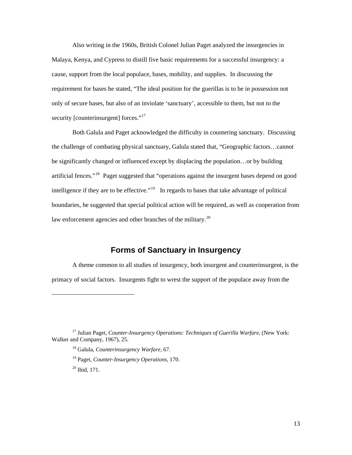<span id="page-17-0"></span>Also writing in the 1960s, British Colonel Julian Paget analyzed the insurgencies in Malaya, Kenya, and Cypress to distill five basic requirements for a successful insurgency: a cause, support from the local populace, bases, mobility, and supplies. In discussing the requirement for bases he stated, "The ideal position for the guerillas is to be in possession not only of secure bases, but also of an inviolate 'sanctuary', accessible to them, but not to the security [counterinsurgent] forces."<sup>[17](#page-17-1)</sup>

Both Galula and Paget acknowledged the difficulty in countering sanctuary. Discussing the challenge of combating physical sanctuary, Galula stated that, "Geographic factors…cannot be significantly changed or influenced except by displacing the population…or by building artificial fences."[18](#page-17-2) Paget suggested that "operations against the insurgent bases depend on good intelligence if they are to be effective."<sup>[19](#page-17-3)</sup> In regards to bases that take advantage of political boundaries, he suggested that special political action will be required, as well as cooperation from law enforcement agencies and other branches of the military.<sup>[20](#page-17-4)</sup>

# **Forms of Sanctuary in Insurgency**

A theme common to all studies of insurgency, both insurgent and counterinsurgent, is the primacy of social factors. Insurgents fight to wrest the support of the populace away from the

<span id="page-17-4"></span><span id="page-17-3"></span><span id="page-17-2"></span><span id="page-17-1"></span><sup>17</sup> Julian Paget, *Counter-Insurgency Operations: Techniques of Guerilla Warfare*, (New York: Walker and Company, 1967), 25.

<sup>18</sup> Galula, *Counterinsurgency Warfare*, 67.

<sup>19</sup> Paget, *Counter-Insurgency Operations*, 170.

<sup>20</sup> Ibid, 171.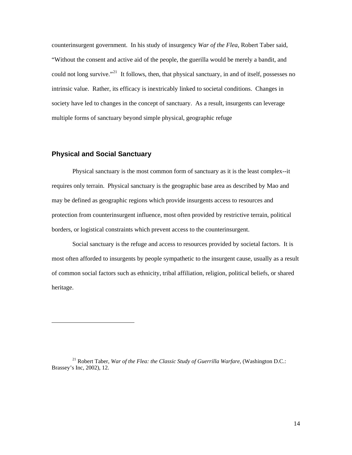<span id="page-18-0"></span>counterinsurgent government. In his study of insurgency *War of the Flea*, Robert Taber said, "Without the consent and active aid of the people, the guerilla would be merely a bandit, and could not long survive."<sup>[21](#page-18-1)</sup> It follows, then, that physical sanctuary, in and of itself, possesses no intrinsic value. Rather, its efficacy is inextricably linked to societal conditions. Changes in society have led to changes in the concept of sanctuary. As a result, insurgents can leverage multiple forms of sanctuary beyond simple physical, geographic refuge

#### **Physical and Social Sanctuary**

 $\overline{a}$ 

Physical sanctuary is the most common form of sanctuary as it is the least complex--it requires only terrain. Physical sanctuary is the geographic base area as described by Mao and may be defined as geographic regions which provide insurgents access to resources and protection from counterinsurgent influence, most often provided by restrictive terrain, political borders, or logistical constraints which prevent access to the counterinsurgent.

Social sanctuary is the refuge and access to resources provided by societal factors. It is most often afforded to insurgents by people sympathetic to the insurgent cause, usually as a result of common social factors such as ethnicity, tribal affiliation, religion, political beliefs, or shared heritage.

<span id="page-18-1"></span><sup>21</sup> Robert Taber, *War of the Flea: the Classic Study of Guerrilla Warfare*, (Washington D.C.: Brassey's Inc, 2002), 12.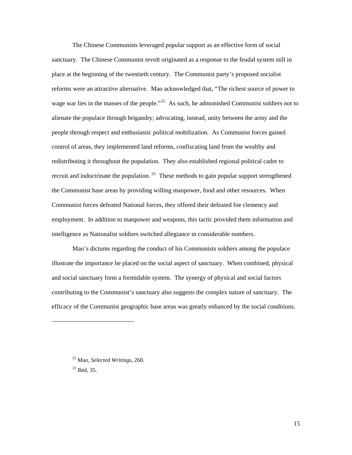The Chinese Communists leveraged popular support as an effective form of social sanctuary. The Chinese Communist revolt originated as a response to the feudal system still in place at the beginning of the twentieth century. The Communist party's proposed socialist reforms were an attractive alternative. Mao acknowledged that, "The richest source of power to wage war lies in the masses of the people."<sup>[22](#page-19-0)</sup> As such, he admonished Communist soldiers not to alienate the populace through brigandry; advocating, instead, unity between the army and the people through respect and enthusiastic political mobilization. As Communist forces gained control of areas, they implemented land reforms, confiscating land from the wealthy and redistributing it throughout the population. They also established regional political cadre to recruit and indoctrinate the population.  $23$  These methods to gain popular support strengthened the Communist base areas by providing willing manpower, food and other resources. When Communist forces defeated National forces, they offered their defeated foe clemency and employment. In addition to manpower and weapons, this tactic provided them information and intelligence as Nationalist soldiers switched allegiance in considerable numbers.

Mao's dictums regarding the conduct of his Communists soldiers among the populace illustrate the importance he placed on the social aspect of sanctuary. When combined, physical and social sanctuary form a formidable system. The synergy of physical and social factors contributing to the Communist's sanctuary also suggests the complex nature of sanctuary. The efficacy of the Communist geographic base areas was greatly enhanced by the social conditions.

<span id="page-19-1"></span> $23$  Ibid, 35.

<span id="page-19-0"></span><sup>22</sup> Mao, *Selected Writings*, 260.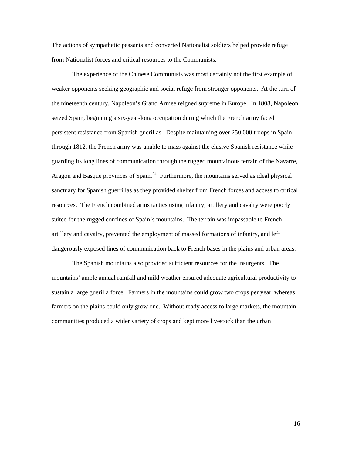The actions of sympathetic peasants and converted Nationalist soldiers helped provide refuge from Nationalist forces and critical resources to the Communists.

The experience of the Chinese Communists was most certainly not the first example of weaker opponents seeking geographic and social refuge from stronger opponents. At the turn of the nineteenth century, Napoleon's Grand Armee reigned supreme in Europe. In 1808, Napoleon seized Spain, beginning a six-year-long occupation during which the French army faced persistent resistance from Spanish guerillas. Despite maintaining over 250,000 troops in Spain through 1812, the French army was unable to mass against the elusive Spanish resistance while guarding its long lines of communication through the rugged mountainous terrain of the Navarre, Aragon and Basque provinces of Spain.<sup>[24](#page-20-0)</sup> Furthermore, the mountains served as ideal physical sanctuary for Spanish guerrillas as they provided shelter from French forces and access to critical resources. The French combined arms tactics using infantry, artillery and cavalry were poorly suited for the rugged confines of Spain's mountains. The terrain was impassable to French artillery and cavalry, prevented the employment of massed formations of infantry, and left dangerously exposed lines of communication back to French bases in the plains and urban areas.

<span id="page-20-0"></span>The Spanish mountains also provided sufficient resources for the insurgents. The mountains' ample annual rainfall and mild weather ensured adequate agricultural productivity to sustain a large guerilla force. Farmers in the mountains could grow two crops per year, whereas farmers on the plains could only grow one. Without ready access to large markets, the mountain communities produced a wider variety of crops and kept more livestock than the urban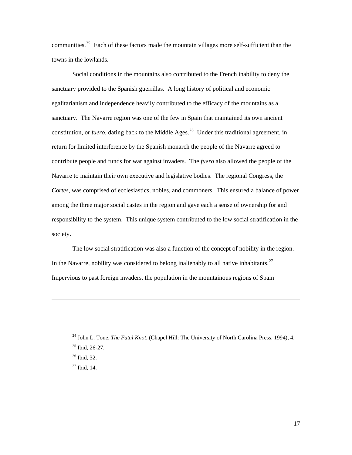<span id="page-21-0"></span>communities.<sup>[25](#page-21-0)</sup> Each of these factors made the mountain villages more self-sufficient than the towns in the lowlands.

Social conditions in the mountains also contributed to the French inability to deny the sanctuary provided to the Spanish guerrillas. A long history of political and economic egalitarianism and independence heavily contributed to the efficacy of the mountains as a sanctuary. The Navarre region was one of the few in Spain that maintained its own ancient constitution, or *fuero*, dating back to the Middle Ages.<sup>[26](#page-21-1)</sup> Under this traditional agreement, in return for limited interference by the Spanish monarch the people of the Navarre agreed to contribute people and funds for war against invaders. The *fuero* also allowed the people of the Navarre to maintain their own executive and legislative bodies. The regional Congress, the *Cortes*, was comprised of ecclesiastics, nobles, and commoners. This ensured a balance of power among the three major social castes in the region and gave each a sense of ownership for and responsibility to the system. This unique system contributed to the low social stratification in the society.

The low social stratification was also a function of the concept of nobility in the region. In the Navarre, nobility was considered to belong inalienably to all native inhabitants.<sup>[27](#page-21-2)</sup> Impervious to past foreign invaders, the population in the mountainous regions of Spain

<sup>&</sup>lt;sup>24</sup> John L. Tone, *The Fatal Knot*, (Chapel Hill: The University of North Carolina Press, 1994), 4.

 $25$  Ibid, 26-27.

<span id="page-21-1"></span> $26$  Ibid, 32.

<span id="page-21-2"></span> $27$  Ibid, 14.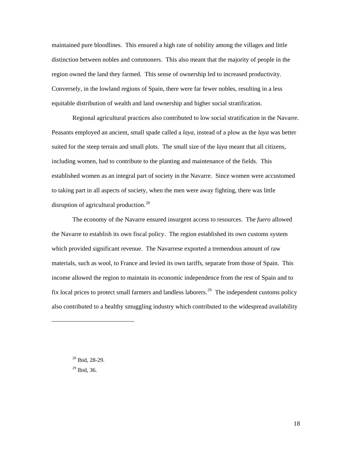maintained pure bloodlines. This ensured a high rate of nobility among the villages and little distinction between nobles and commoners. This also meant that the majority of people in the region owned the land they farmed. This sense of ownership led to increased productivity. Conversely, in the lowland regions of Spain, there were far fewer nobles, resulting in a less equitable distribution of wealth and land ownership and higher social stratification.

Regional agricultural practices also contributed to low social stratification in the Navarre. Peasants employed an ancient, small spade called a *laya*, instead of a plow as the *laya* was better suited for the steep terrain and small plots. The small size of the *laya* meant that all citizens, including women, had to contribute to the planting and maintenance of the fields. This established women as an integral part of society in the Navarre. Since women were accustomed to taking part in all aspects of society, when the men were away fighting, there was little disruption of agricultural production.<sup>[28](#page-22-0)</sup>

The economy of the Navarre ensured insurgent access to resources. The *fuero* allowed the Navarre to establish its own fiscal policy. The region established its own customs system which provided significant revenue. The Navarrese exported a tremendous amount of raw materials, such as wool, to France and levied its own tariffs, separate from those of Spain. This income allowed the region to maintain its economic independence from the rest of Spain and to fix local prices to protect small farmers and landless laborers.<sup>[29](#page-22-1)</sup> The independent customs policy also contributed to a healthy smuggling industry which contributed to the widespread availability

<span id="page-22-0"></span> $28$  Ibid, 28-29.

<span id="page-22-1"></span> $29$  Ibid, 36.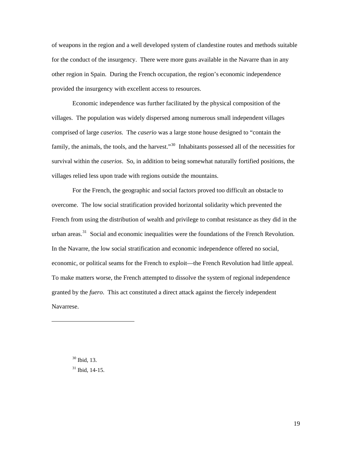of weapons in the region and a well developed system of clandestine routes and methods suitable for the conduct of the insurgency. There were more guns available in the Navarre than in any other region in Spain. During the French occupation, the region's economic independence provided the insurgency with excellent access to resources.

Economic independence was further facilitated by the physical composition of the villages. The population was widely dispersed among numerous small independent villages comprised of large *caserios.* The *caserio* was a large stone house designed to "contain the family, the animals, the tools, and the harvest."<sup>[30](#page-23-0)</sup> Inhabitants possessed all of the necessities for survival within the *caserios*. So, in addition to being somewhat naturally fortified positions, the villages relied less upon trade with regions outside the mountains.

For the French, the geographic and social factors proved too difficult an obstacle to overcome. The low social stratification provided horizontal solidarity which prevented the French from using the distribution of wealth and privilege to combat resistance as they did in the urban areas.<sup>[31](#page-23-1)</sup> Social and economic inequalities were the foundations of the French Revolution. In the Navarre, the low social stratification and economic independence offered no social, economic, or political seams for the French to exploit—the French Revolution had little appeal. To make matters worse, the French attempted to dissolve the system of regional independence granted by the *fuero*. This act constituted a direct attack against the fiercely independent Navarrese.

30 Ibid, 13.

<span id="page-23-1"></span><span id="page-23-0"></span> $\overline{a}$ 

 $31$  Ibid, 14-15.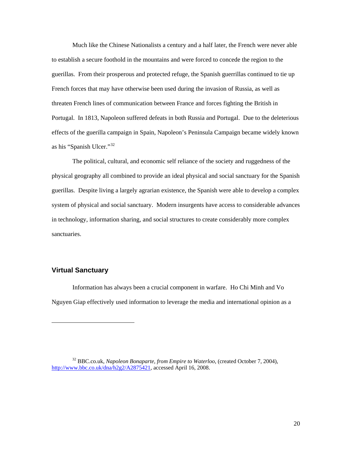<span id="page-24-0"></span>Much like the Chinese Nationalists a century and a half later, the French were never able to establish a secure foothold in the mountains and were forced to concede the region to the guerillas. From their prosperous and protected refuge, the Spanish guerrillas continued to tie up French forces that may have otherwise been used during the invasion of Russia, as well as threaten French lines of communication between France and forces fighting the British in Portugal. In 1813, Napoleon suffered defeats in both Russia and Portugal. Due to the deleterious effects of the guerilla campaign in Spain, Napoleon's Peninsula Campaign became widely known as his "Spanish Ulcer."[32](#page-24-1)

The political, cultural, and economic self reliance of the society and ruggedness of the physical geography all combined to provide an ideal physical and social sanctuary for the Spanish guerillas. Despite living a largely agrarian existence, the Spanish were able to develop a complex system of physical and social sanctuary. Modern insurgents have access to considerable advances in technology, information sharing, and social structures to create considerably more complex sanctuaries.

### **Virtual Sanctuary**

 $\overline{a}$ 

Information has always been a crucial component in warfare. Ho Chi Minh and Vo Nguyen Giap effectively used information to leverage the media and international opinion as a

<span id="page-24-1"></span><sup>32</sup> BBC.co.uk, *Napoleon Bonaparte, from Empire to Waterloo*, (created October 7, 2004), [http://www.bbc.co.uk/dna/h2g2/A2875421,](http://www.bbc.co.uk/dna/h2g2/A2875421) accessed April 16, 2008.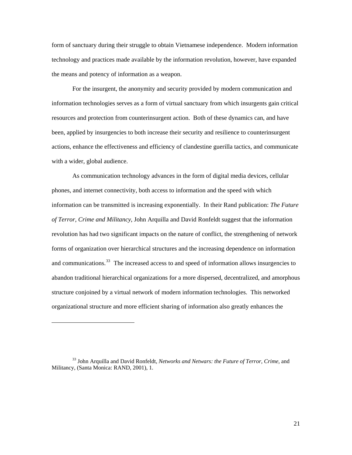form of sanctuary during their struggle to obtain Vietnamese independence. Modern information technology and practices made available by the information revolution, however, have expanded the means and potency of information as a weapon.

 For the insurgent, the anonymity and security provided by modern communication and information technologies serves as a form of virtual sanctuary from which insurgents gain critical resources and protection from counterinsurgent action. Both of these dynamics can, and have been, applied by insurgencies to both increase their security and resilience to counterinsurgent actions, enhance the effectiveness and efficiency of clandestine guerilla tactics, and communicate with a wider, global audience.

As communication technology advances in the form of digital media devices, cellular phones, and internet connectivity, both access to information and the speed with which information can be transmitted is increasing exponentially. In their Rand publication: *The Future of Terror, Crime and Militancy*, John Arquilla and David Ronfeldt suggest that the information revolution has had two significant impacts on the nature of conflict, the strengthening of network forms of organization over hierarchical structures and the increasing dependence on information and communications.<sup>[33](#page-25-0)</sup> The increased access to and speed of information allows insurgencies to abandon traditional hierarchical organizations for a more dispersed, decentralized, and amorphous structure conjoined by a virtual network of modern information technologies. This networked organizational structure and more efficient sharing of information also greatly enhances the

<span id="page-25-0"></span><sup>33</sup> John Arquilla and David Ronfeldt, *Networks and Netwars: the Future of Terror, Crime*, and Militancy, (Santa Monica: RAND, 2001), 1.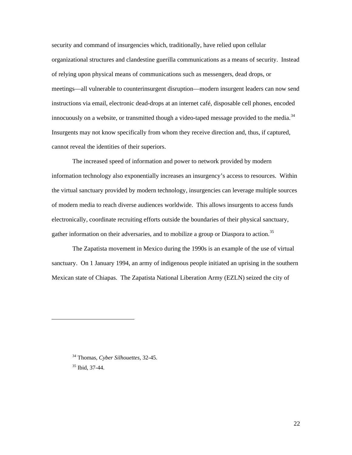security and command of insurgencies which, traditionally, have relied upon cellular organizational structures and clandestine guerilla communications as a means of security. Instead of relying upon physical means of communications such as messengers, dead drops, or meetings—all vulnerable to counterinsurgent disruption—modern insurgent leaders can now send instructions via email, electronic dead-drops at an internet café, disposable cell phones, encoded innocuously on a website, or transmitted though a video-taped message provided to the media.<sup>[34](#page-26-0)</sup> Insurgents may not know specifically from whom they receive direction and, thus, if captured, cannot reveal the identities of their superiors.

The increased speed of information and power to network provided by modern information technology also exponentially increases an insurgency's access to resources. Within the virtual sanctuary provided by modern technology, insurgencies can leverage multiple sources of modern media to reach diverse audiences worldwide. This allows insurgents to access funds electronically, coordinate recruiting efforts outside the boundaries of their physical sanctuary, gather information on their adversaries, and to mobilize a group or Diaspora to action.<sup>[35](#page-26-1)</sup>

The Zapatista movement in Mexico during the 1990s is an example of the use of virtual sanctuary. On 1 January 1994, an army of indigenous people initiated an uprising in the southern Mexican state of Chiapas. The Zapatista National Liberation Army (EZLN) seized the city of

<span id="page-26-1"></span><span id="page-26-0"></span>35 Ibid, 37-44.

<sup>34</sup> Thomas, *Cyber Silhouettes*, 32-45.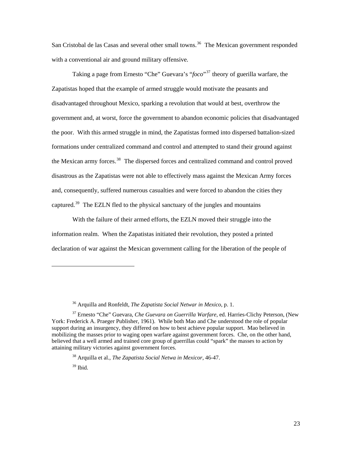San Cristobal de las Casas and several other small towns.<sup>[36](#page-27-0)</sup> The Mexican government responded with a conventional air and ground military offensive.

Taking a page from Ernesto "Che" Guevara's "*foco*"[37](#page-27-1) theory of guerilla warfare, the Zapatistas hoped that the example of armed struggle would motivate the peasants and disadvantaged throughout Mexico, sparking a revolution that would at best, overthrow the government and, at worst, force the government to abandon economic policies that disadvantaged the poor. With this armed struggle in mind, the Zapatistas formed into dispersed battalion-sized formations under centralized command and control and attempted to stand their ground against the Mexican army forces.<sup>[38](#page-27-2)</sup> The dispersed forces and centralized command and control proved disastrous as the Zapatistas were not able to effectively mass against the Mexican Army forces and, consequently, suffered numerous casualties and were forced to abandon the cities they captured.<sup>[39](#page-27-3)</sup> The EZLN fled to the physical sanctuary of the jungles and mountains

With the failure of their armed efforts, the EZLN moved their struggle into the information realm. When the Zapatistas initiated their revolution, they posted a printed declaration of war against the Mexican government calling for the liberation of the people of

<span id="page-27-3"></span> $39$  Ibid.

<sup>36</sup> Arquilla and Ronfeldt, *The Zapatista Social Netwar in Mexico*, p. 1.

<span id="page-27-2"></span><span id="page-27-1"></span><span id="page-27-0"></span><sup>37</sup> Ernesto "Che" Guevara, *Che Guevara on Guerrilla Warfare*, ed. Harries-Clichy Peterson, (New York: Frederick A. Praeger Publisher, 1961). While both Mao and Che understood the role of popular support during an insurgency, they differed on how to best achieve popular support. Mao believed in mobilizing the masses prior to waging open warfare against government forces. Che, on the other hand, believed that a well armed and trained core group of guerrillas could "spark" the masses to action by attaining military victories against government forces.

<sup>38</sup> Arquilla et al., *The Zapatista Social Netwa in Mexicor*, 46-47.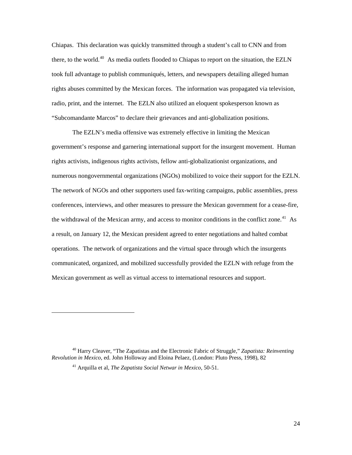Chiapas. This declaration was quickly transmitted through a student's call to CNN and from there, to the world.<sup>[40](#page-28-0)</sup> As media outlets flooded to Chiapas to report on the situation, the EZLN took full advantage to publish communiqués, letters, and newspapers detailing alleged human rights abuses committed by the Mexican forces. The information was propagated via television, radio, print, and the internet. The EZLN also utilized an eloquent spokesperson known as "Subcomandante Marcos" to declare their grievances and anti-globalization positions.

The EZLN's media offensive was extremely effective in limiting the Mexican government's response and garnering international support for the insurgent movement. Human rights activists, indigenous rights activists, fellow anti-globalizationist organizations, and numerous nongovernmental organizations (NGOs) mobilized to voice their support for the EZLN. The network of NGOs and other supporters used fax-writing campaigns, public assemblies, press conferences, interviews, and other measures to pressure the Mexican government for a cease-fire, the withdrawal of the Mexican army, and access to monitor conditions in the conflict zone.<sup>[41](#page-28-1)</sup> As a result, on January 12, the Mexican president agreed to enter negotiations and halted combat operations. The network of organizations and the virtual space through which the insurgents communicated, organized, and mobilized successfully provided the EZLN with refuge from the Mexican government as well as virtual access to international resources and support.

<span id="page-28-1"></span><span id="page-28-0"></span><sup>40</sup> Harry Cleaver, "The Zapatistas and the Electronic Fabric of Struggle," *Zapatista: Reinventing Revolution in Mexico*, ed. John Holloway and Eloina Pelaez, (London: Pluto Press, 1998), 82

<sup>41</sup> Arquilla et al, *The Zapatista Social Netwar in Mexico*, 50-51.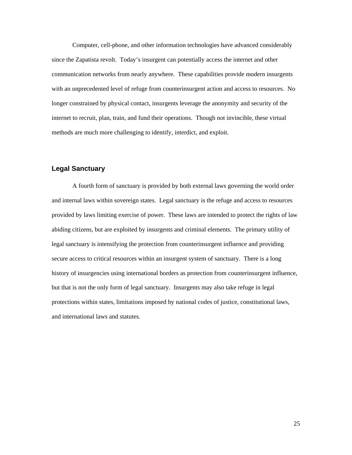<span id="page-29-0"></span>Computer, cell-phone, and other information technologies have advanced considerably since the Zapatista revolt. Today's insurgent can potentially access the internet and other communication networks from nearly anywhere. These capabilities provide modern insurgents with an unprecedented level of refuge from counterinsurgent action and access to resources. No longer constrained by physical contact, insurgents leverage the anonymity and security of the internet to recruit, plan, train, and fund their operations. Though not invincible, these virtual methods are much more challenging to identify, interdict, and exploit.

### **Legal Sanctuary**

A fourth form of sanctuary is provided by both external laws governing the world order and internal laws within sovereign states. Legal sanctuary is the refuge and access to resources provided by laws limiting exercise of power. These laws are intended to protect the rights of law abiding citizens, but are exploited by insurgents and criminal elements. The primary utility of legal sanctuary is intensifying the protection from counterinsurgent influence and providing secure access to critical resources within an insurgent system of sanctuary. There is a long history of insurgencies using international borders as protection from counterinsurgent influence, but that is not the only form of legal sanctuary. Insurgents may also take refuge in legal protections within states, limitations imposed by national codes of justice, constitutional laws, and international laws and statutes.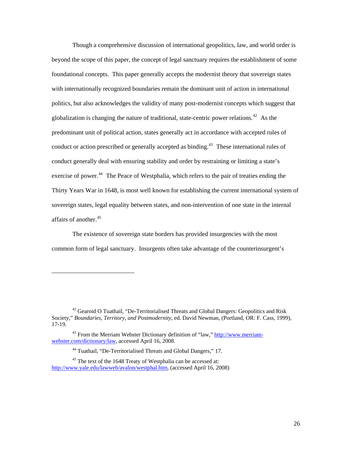Though a comprehensive discussion of international geopolitics, law, and world order is beyond the scope of this paper, the concept of legal sanctuary requires the establishment of some foundational concepts. This paper generally accepts the modernist theory that sovereign states with internationally recognized boundaries remain the dominant unit of action in international politics, but also acknowledges the validity of many post-modernist concepts which suggest that globalization is changing the nature of traditional, state-centric power relations.<sup>[42](#page-30-0)</sup> As the predominant unit of political action, states generally act in accordance with accepted rules of conduct or action prescribed or generally accepted as binding.<sup>[43](#page-30-1)</sup> These international rules of conduct generally deal with ensuring stability and order by restraining or limiting a state's exercise of power.<sup>[44](#page-30-2)</sup> The Peace of Westphalia, which refers to the pair of treaties ending the Thirty Years War in 1648, is most well known for establishing the current international system of sovereign states, legal equality between states, and non-intervention of one state in the internal affairs of another.<sup>[45](#page-30-3)</sup>

The existence of sovereign state borders has provided insurgencies with the most common form of legal sanctuary. Insurgents often take advantage of the counterinsurgent's

<span id="page-30-0"></span><sup>&</sup>lt;sup>42</sup> Gearoid O Tuathail, "De-Territorialised Threats and Global Dangers: Geopolitics and Risk Society," *Boundaries, Territory, and Postmodernity*, ed. David Newman, (Portland, OR: F. Cass, 1999), 17-19.

<span id="page-30-1"></span> $43$  From the Merriam Webster Dictionary definition of "law," [http://www.merriam](http://www.merriam-webster.com/dictionary/law)[webster.com/dictionary/law](http://www.merriam-webster.com/dictionary/law), accessed April 16, 2008.

<sup>44</sup> Tuathail, "De-Territorialised Threats and Global Dangers," 17.

<span id="page-30-3"></span><span id="page-30-2"></span><sup>&</sup>lt;sup>45</sup> The text of the 1648 Treaty of Westphalia can be accessed at: <http://www.yale.edu/lawweb/avalon/westphal.htm>, (accessed April 16, 2008)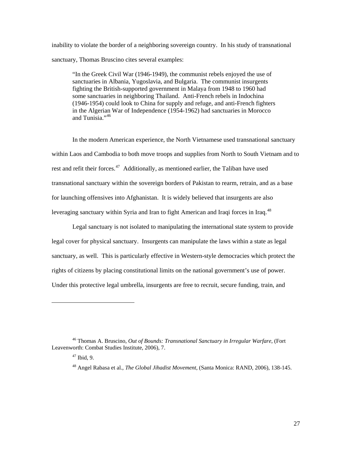inability to violate the border of a neighboring sovereign country. In his study of transnational sanctuary, Thomas Bruscino cites several examples:

"In the Greek Civil War (1946-1949), the communist rebels enjoyed the use of sanctuaries in Albania, Yugoslavia, and Bulgaria. The communist insurgents fighting the British-supported government in Malaya from 1948 to 1960 had some sanctuaries in neighboring Thailand. Anti-French rebels in Indochina (1946-1954) could look to China for supply and refuge, and anti-French fighters in the Algerian War of Independence (1954-1962) had sanctuaries in Morocco and Tunisia."[46](#page-31-0)

In the modern American experience, the North Vietnamese used transnational sanctuary within Laos and Cambodia to both move troops and supplies from North to South Vietnam and to rest and refit their forces. $47$  Additionally, as mentioned earlier, the Taliban have used transnational sanctuary within the sovereign borders of Pakistan to rearm, retrain, and as a base for launching offensives into Afghanistan. It is widely believed that insurgents are also leveraging sanctuary within Syria and Iran to fight American and Iraqi forces in Iraq.<sup>[48](#page-31-2)</sup>

Legal sanctuary is not isolated to manipulating the international state system to provide legal cover for physical sanctuary. Insurgents can manipulate the laws within a state as legal sanctuary, as well. This is particularly effective in Western-style democracies which protect the rights of citizens by placing constitutional limits on the national government's use of power. Under this protective legal umbrella, insurgents are free to recruit, secure funding, train, and

<span id="page-31-2"></span><span id="page-31-1"></span><span id="page-31-0"></span><sup>46</sup> Thomas A. Bruscino, *Out of Bounds: Transnational Sanctuary in Irregular Warfare*, (Fort Leavenworth: Combat Studies Institute, 2006), 7.

 $47$  Ibid, 9.

<sup>48</sup> Angel Rabasa et al., *The Global Jihadist Movement*, (Santa Monica: RAND, 2006), 138-145.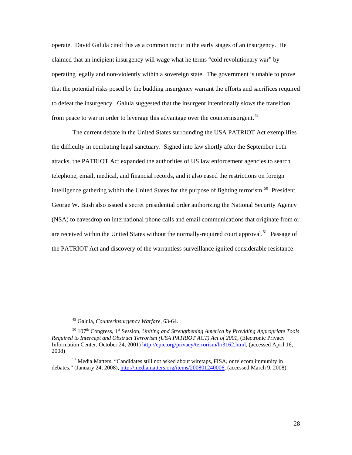operate. David Galula cited this as a common tactic in the early stages of an insurgency. He claimed that an incipient insurgency will wage what he terms "cold revolutionary war" by operating legally and non-violently within a sovereign state. The government is unable to prove that the potential risks posed by the budding insurgency warrant the efforts and sacrifices required to defeat the insurgency. Galula suggested that the insurgent intentionally slows the transition from peace to war in order to leverage this advantage over the counterinsurgent.<sup>[49](#page-32-0)</sup>

The current debate in the United States surrounding the USA PATRIOT Act exemplifies the difficulty in combating legal sanctuary. Signed into law shortly after the September 11th attacks, the PATRIOT Act expanded the authorities of US law enforcement agencies to search telephone, email, medical, and financial records, and it also eased the restrictions on foreign intelligence gathering within the United States for the purpose of fighting terrorism.<sup>[50](#page-32-1)</sup> President George W. Bush also issued a secret presidential order authorizing the National Security Agency (NSA) to eavesdrop on international phone calls and email communications that originate from or are received within the United States without the normally-required court approval.<sup>[51](#page-32-2)</sup> Passage of the PATRIOT Act and discovery of the warrantless surveillance ignited considerable resistance

<sup>49</sup> Galula, *Counterinsurgency Warfare*, 63-64.

<span id="page-32-1"></span><span id="page-32-0"></span><sup>&</sup>lt;sup>50</sup> 107<sup>th</sup> Congress, 1<sup>st</sup> Session, *Uniting and Strengthening America by Providing Appropriate Tools Required to Intercept and Obstruct Terrorism (USA PATRIOT ACT) Act of 2001*, (Electronic Privacy Information Center, October 24, 2001) [http://epic.org/privacy/terrorism/hr3162.html,](http://epic.org/privacy/terrorism/hr3162.html) (accessed April 16, 2008)

<span id="page-32-2"></span><sup>&</sup>lt;sup>51</sup> Media Matters, "Candidates still not asked about wiretaps, FISA, or telecom immunity in debates," (January 24, 2008), [http://mediamatters.org/items/200801240006,](http://mediamatters.org/items/200801240006) (accessed March 9, 2008).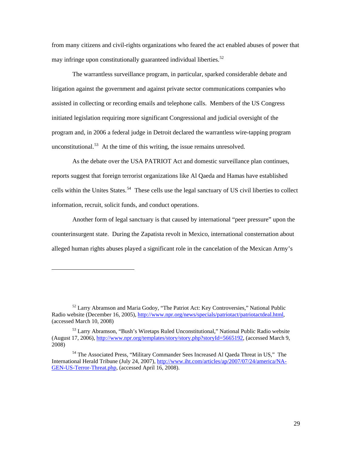from many citizens and civil-rights organizations who feared the act enabled abuses of power that may infringe upon constitutionally guaranteed individual liberties.<sup>[52](#page-33-0)</sup>

 The warrantless surveillance program, in particular, sparked considerable debate and litigation against the government and against private sector communications companies who assisted in collecting or recording emails and telephone calls. Members of the US Congress initiated legislation requiring more significant Congressional and judicial oversight of the program and, in 2006 a federal judge in Detroit declared the warrantless wire-tapping program unconstitutional.<sup>[53](#page-33-1)</sup> At the time of this writing, the issue remains unresolved.

As the debate over the USA PATRIOT Act and domestic surveillance plan continues, reports suggest that foreign terrorist organizations like Al Qaeda and Hamas have established cells within the Unites States.<sup>[54](#page-33-2)</sup> These cells use the legal sanctuary of US civil liberties to collect information, recruit, solicit funds, and conduct operations.

Another form of legal sanctuary is that caused by international "peer pressure" upon the counterinsurgent state. During the Zapatista revolt in Mexico, international consternation about alleged human rights abuses played a significant role in the cancelation of the Mexican Army's

<span id="page-33-0"></span><sup>52</sup> Larry Abramson and Maria Godoy, "The Patriot Act: Key Controversies," National Public Radio website (December 16, 2005), <http://www.npr.org/news/specials/patriotact/patriotactdeal.html>, (accessed March 10, 2008)

<span id="page-33-1"></span><sup>53</sup> Larry Abramson, "Bush's Wiretaps Ruled Unconstitutional," National Public Radio website (August 17, 2006), [http://www.npr.org/templates/story/story.php?storyId=5665192,](http://www.npr.org/templates/story/story.php?storyId=5665192) (accessed March 9, 2008)

<span id="page-33-2"></span><sup>54</sup> The Associated Press, "Military Commander Sees Increased Al Qaeda Threat in US," The International Herald Tribune (July 24, 2007), [http://www.iht.com/articles/ap/2007/07/24/america/NA-](http://www.iht.com/articles/ap/2007/07/24/america/NA-GEN-US-Terror-Threat.php)[GEN-US-Terror-Threat.php](http://www.iht.com/articles/ap/2007/07/24/america/NA-GEN-US-Terror-Threat.php), (accessed April 16, 2008).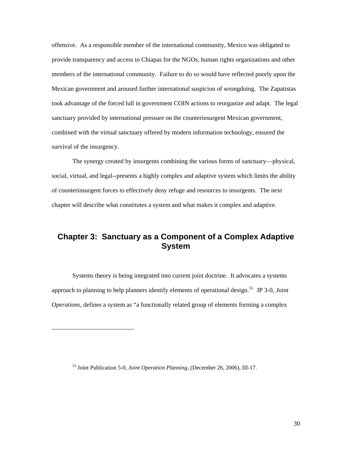<span id="page-34-0"></span>offensive. As a responsible member of the international community, Mexico was obligated to provide transparency and access to Chiapas for the NGOs, human rights organizations and other members of the international community. Failure to do so would have reflected poorly upon the Mexican government and aroused further international suspicion of wrongdoing. The Zapatistas took advantage of the forced lull in government COIN actions to reorganize and adapt. The legal sanctuary provided by international pressure on the counterinsurgent Mexican government, combined with the virtual sanctuary offered by modern information technology, ensured the survival of the insurgency.

The synergy created by insurgents combining the various forms of sanctuary—physical, social, virtual, and legal--presents a highly complex and adaptive system which limits the ability of counterinsurgent forces to effectively deny refuge and resources to insurgents. The next chapter will describe what constitutes a system and what makes it complex and adaptive.

# **Chapter 3: Sanctuary as a Component of a Complex Adaptive System**

Systems theory is being integrated into current joint doctrine. It advocates a systems approach to planning to help planners identify elements of operational design.[55](#page-34-1) JP 3-0, *Joint Operations*, defines a system as "a functionally related group of elements forming a complex

<span id="page-34-1"></span><sup>55</sup> Joint Publication 5-0, *Joint Operation Planning*, (December 26, 2006), III-17.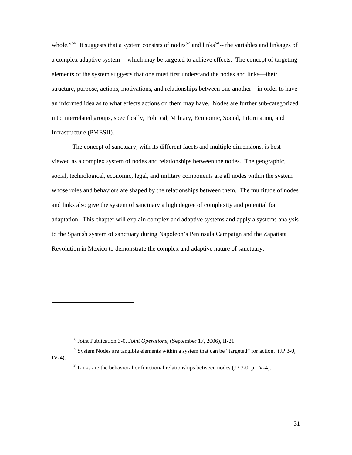whole."<sup>[56](#page-35-0)</sup> It suggests that a system consists of nodes<sup>[57](#page-35-1)</sup> and links<sup>[58](#page-35-2)</sup>-- the variables and linkages of a complex adaptive system -- which may be targeted to achieve effects. The concept of targeting elements of the system suggests that one must first understand the nodes and links—their structure, purpose, actions, motivations, and relationships between one another—in order to have an informed idea as to what effects actions on them may have. Nodes are further sub-categorized into interrelated groups, specifically, Political, Military, Economic, Social, Information, and Infrastructure (PMESII).

The concept of sanctuary, with its different facets and multiple dimensions, is best viewed as a complex system of nodes and relationships between the nodes. The geographic, social, technological, economic, legal, and military components are all nodes within the system whose roles and behaviors are shaped by the relationships between them. The multitude of nodes and links also give the system of sanctuary a high degree of complexity and potential for adaptation. This chapter will explain complex and adaptive systems and apply a systems analysis to the Spanish system of sanctuary during Napoleon's Peninsula Campaign and the Zapatista Revolution in Mexico to demonstrate the complex and adaptive nature of sanctuary.

<sup>56</sup> Joint Publication 3-0, *Joint Operations,* (September 17, 2006), II-21.

<span id="page-35-2"></span><span id="page-35-1"></span><span id="page-35-0"></span> $57$  System Nodes are tangible elements within a system that can be "targeted" for action. (JP 3-0, IV-4).

<sup>&</sup>lt;sup>58</sup> Links are the behavioral or functional relationships between nodes (JP 3-0, p. IV-4).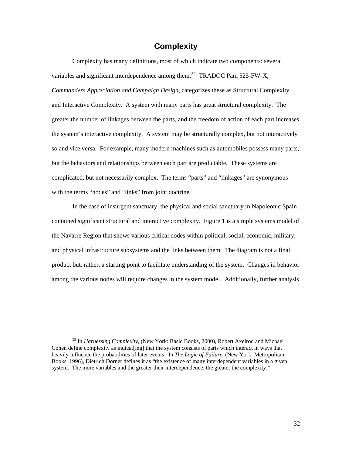# **Complexity**

<span id="page-36-0"></span>Complexity has many definitions, most of which indicate two components: several variables and significant interdependence among them.<sup>[59](#page-36-1)</sup> TRADOC Pam 525-FW-X, *Commanders Appreciation and Campaign Design*, categorizes these as Structural Complexity and Interactive Complexity. A system with many parts has great structural complexity. The greater the number of linkages between the parts, and the freedom of action of each part increases the system's interactive complexity. A system may be structurally complex, but not interactively so and vice versa. For example, many modern machines such as automobiles possess many parts, but the behaviors and relationships between each part are predictable. These systems are complicated, but not necessarily complex. The terms "parts" and "linkages" are synonymous with the terms "nodes" and "links" from joint doctrine.

In the case of insurgent sanctuary, the physical and social sanctuary in Napoleonic Spain contained significant structural and interactive complexity. Figure 1 is a simple systems model of the Navarre Region that shows various critical nodes within political, social, economic, military, and physical infrastructure subsystems and the links between them. The diagram is not a final product but, rather, a starting point to facilitate understanding of the system. Changes in behavior among the various nodes will require changes in the system model. Additionally, further analysis

<span id="page-36-1"></span><sup>59</sup> In *Harnessing Complexity*, (New York: Basic Books, 2000), Robert Axelrod and Michael Cohen define complexity as indicat[ing] that the system consists of parts which interact in ways that heavily influence the probabilities of later events. In *The Logic of Failure*, (New York: Metropolitan Books, 1996), Dietrich Dorner defines it as "the existence of many interdependent variables in a given system. The more variables and the greater their interdependence, the greater the complexity."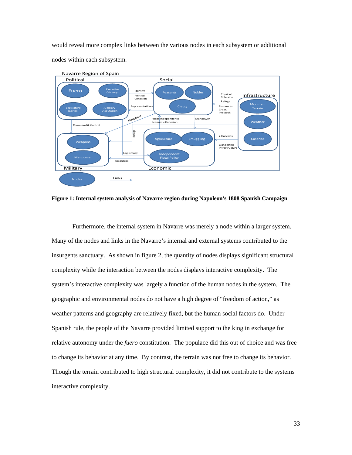would reveal more complex links between the various nodes in each subsystem or additional nodes within each subsystem.



**Figure 1: Internal system analysis of Navarre region during Napoleon's 1808 Spanish Campaign** 

Furthermore, the internal system in Navarre was merely a node within a larger system. Many of the nodes and links in the Navarre's internal and external systems contributed to the insurgents sanctuary. As shown in figure 2, the quantity of nodes displays significant structural complexity while the interaction between the nodes displays interactive complexity. The system's interactive complexity was largely a function of the human nodes in the system. The geographic and environmental nodes do not have a high degree of "freedom of action," as weather patterns and geography are relatively fixed, but the human social factors do. Under Spanish rule, the people of the Navarre provided limited support to the king in exchange for relative autonomy under the *fuero* constitution. The populace did this out of choice and was free to change its behavior at any time. By contrast, the terrain was not free to change its behavior. Though the terrain contributed to high structural complexity, it did not contribute to the systems interactive complexity.

33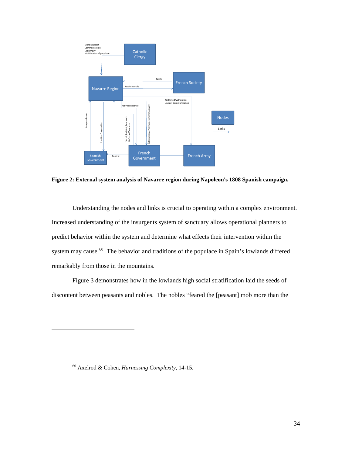

**Figure 2: External system analysis of Navarre region during Napoleon's 1808 Spanish campaign.** 

Understanding the nodes and links is crucial to operating within a complex environment. Increased understanding of the insurgents system of sanctuary allows operational planners to predict behavior within the system and determine what effects their intervention within the system may cause.<sup>[60](#page-38-0)</sup> The behavior and traditions of the populace in Spain's lowlands differed remarkably from those in the mountains.

Figure 3 demonstrates how in the lowlands high social stratification laid the seeds of discontent between peasants and nobles. The nobles "feared the [peasant] mob more than the

<span id="page-38-0"></span><sup>60</sup> Axelrod & Cohen, *Harnessing Complexity*, 14-15.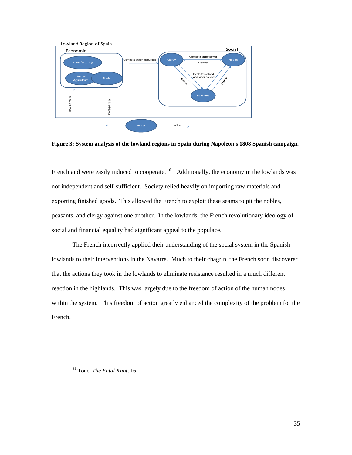

**Figure 3: System analysis of the lowland regions in Spain during Napoleon's 1808 Spanish campaign.** 

French and were easily induced to cooperate."<sup>[61](#page-39-0)</sup> Additionally, the economy in the lowlands was not independent and self-sufficient. Society relied heavily on importing raw materials and exporting finished goods. This allowed the French to exploit these seams to pit the nobles, peasants, and clergy against one another. In the lowlands, the French revolutionary ideology of social and financial equality had significant appeal to the populace.

The French incorrectly applied their understanding of the social system in the Spanish lowlands to their interventions in the Navarre. Much to their chagrin, the French soon discovered that the actions they took in the lowlands to eliminate resistance resulted in a much different reaction in the highlands. This was largely due to the freedom of action of the human nodes within the system. This freedom of action greatly enhanced the complexity of the problem for the French.

<span id="page-39-0"></span>61 Tone, *The Fatal Knot*, 16.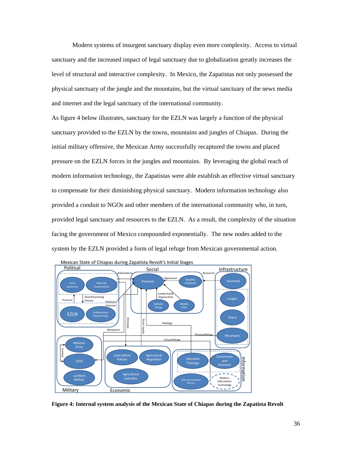Modern systems of insurgent sanctuary display even more complexity. Access to virtual sanctuary and the increased impact of legal sanctuary due to globalization greatly increases the level of structural and interactive complexity. In Mexico, the Zapatistas not only possessed the physical sanctuary of the jungle and the mountains, but the virtual sanctuary of the news media and internet and the legal sanctuary of the international community.

As figure 4 below illustrates, sanctuary for the EZLN was largely a function of the physical sanctuary provided to the EZLN by the towns, mountains and jungles of Chiapas. During the initial military offensive, the Mexican Army successfully recaptured the towns and placed pressure on the EZLN forces in the jungles and mountains. By leveraging the global reach of modern information technology, the Zapatistas were able establish an effective virtual sanctuary to compensate for their diminishing physical sanctuary. Modern information technology also provided a conduit to NGOs and other members of the international community who, in turn, provided legal sanctuary and resources to the EZLN. As a result, the complexity of the situation facing the government of Mexico compounded exponentially. The new nodes added to the system by the EZLN provided a form of legal refuge from Mexican governmental action.



**Figure 4: Internal system analysis of the Mexican State of Chiapas during the Zapatista Revolt**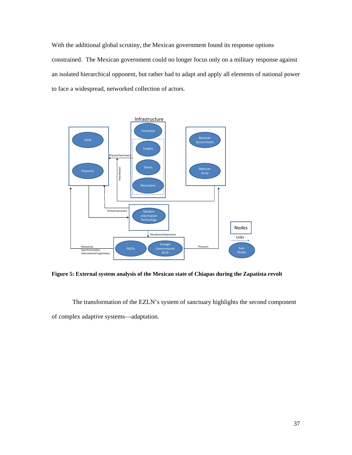With the additional global scrutiny, the Mexican government found its response options constrained. The Mexican government could no longer focus only on a military response against an isolated hierarchical opponent, but rather had to adapt and apply all elements of national power to face a widespread, networked collection of actors.



**Figure 5: External system analysis of the Mexican state of Chiapas during the Zapatista revolt** 

 The transformation of the EZLN's system of sanctuary highlights the second component of complex adaptive systems—adaptation.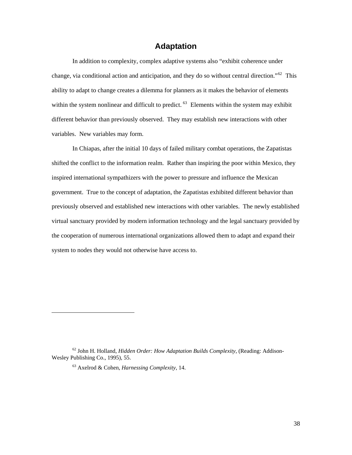## **Adaptation**

<span id="page-42-0"></span>In addition to complexity, complex adaptive systems also "exhibit coherence under change, via conditional action and anticipation, and they do so without central direction."<sup>[62](#page-42-1)</sup> This ability to adapt to change creates a dilemma for planners as it makes the behavior of elements within the system nonlinear and difficult to predict.  $63$  Elements within the system may exhibit different behavior than previously observed. They may establish new interactions with other variables. New variables may form.

In Chiapas, after the initial 10 days of failed military combat operations, the Zapatistas shifted the conflict to the information realm. Rather than inspiring the poor within Mexico, they inspired international sympathizers with the power to pressure and influence the Mexican government. True to the concept of adaptation, the Zapatistas exhibited different behavior than previously observed and established new interactions with other variables. The newly established virtual sanctuary provided by modern information technology and the legal sanctuary provided by the cooperation of numerous international organizations allowed them to adapt and expand their system to nodes they would not otherwise have access to.

 $\overline{\phantom{a}}$ 

<span id="page-42-2"></span><span id="page-42-1"></span><sup>62</sup> John H. Holland, *Hidden Order: How Adaptation Builds Complexity*, (Reading: Addison-Wesley Publishing Co., 1995), 55.

<sup>63</sup> Axelrod & Cohen, *Harnessing Complexity*, 14.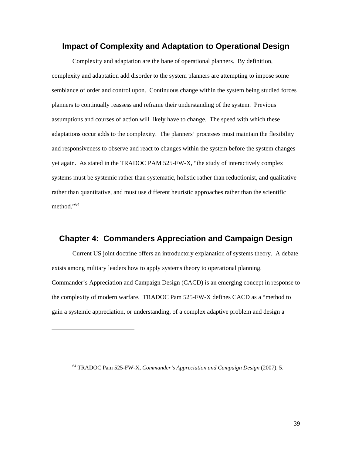## <span id="page-43-0"></span>**Impact of Complexity and Adaptation to Operational Design**

Complexity and adaptation are the bane of operational planners. By definition, complexity and adaptation add disorder to the system planners are attempting to impose some semblance of order and control upon. Continuous change within the system being studied forces planners to continually reassess and reframe their understanding of the system. Previous assumptions and courses of action will likely have to change. The speed with which these adaptations occur adds to the complexity. The planners' processes must maintain the flexibility and responsiveness to observe and react to changes within the system before the system changes yet again. As stated in the TRADOC PAM 525-FW-X*,* "the study of interactively complex systems must be systemic rather than systematic, holistic rather than reductionist, and qualitative rather than quantitative, and must use different heuristic approaches rather than the scientific method."<sup>[64](#page-43-1)</sup>

## **Chapter 4: Commanders Appreciation and Campaign Design**

Current US joint doctrine offers an introductory explanation of systems theory. A debate exists among military leaders how to apply systems theory to operational planning. Commander's Appreciation and Campaign Design (CACD) is an emerging concept in response to the complexity of modern warfare. TRADOC Pam 525-FW-X defines CACD as a "method to gain a systemic appreciation, or understanding, of a complex adaptive problem and design a

<span id="page-43-1"></span><sup>64</sup> TRADOC Pam 525-FW-X, *Commander's Appreciation and Campaign Design* (2007), 5.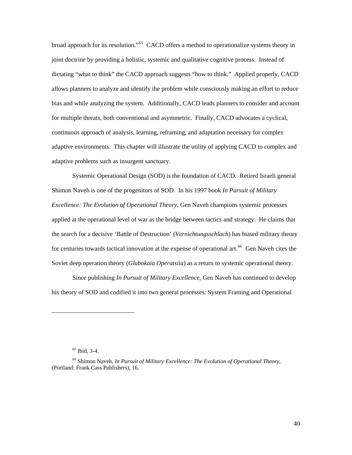broad approach for its resolution."<sup>[65](#page-44-0)</sup> CACD offers a method to operationalize systems theory in joint doctrine by providing a holistic, systemic and qualitative cognitive process. Instead of dictating "what to think" the CACD approach suggests "how to think." Applied properly, CACD allows planners to analyze and identify the problem while consciously making an effort to reduce bias and while analyzing the system. Additionally, CACD leads planners to consider and account for multiple threats, both conventional and asymmetric. Finally, CACD advocates a cyclical, continuous approach of analysis, learning, reframing, and adaptation necessary for complex adaptive environments. This chapter will illustrate the utility of applying CACD to complex and adaptive problems such as insurgent sanctuary.

Systemic Operational Design (SOD) is the foundation of CACD. Retired Israeli general Shimon Naveh is one of the progenitors of SOD. In his 1997 book *In Pursuit of Military Excellence: The Evolution of Operational Theory*, Gen Naveh champions systemic processes applied at the operational level of war as the bridge between tactics and strategy. He claims that the search for a decisive 'Battle of Destruction' (*Vernichtungsschlach*) has biased military theory for centuries towards tactical innovation at the expense of operational art.<sup>[66](#page-44-1)</sup> Gen Naveh cites the Soviet deep operation theory (*Glubokaia Operatsiia*) as a return to systemic operational theory.

Since publishing *In Pursuit of Military Excellence*, Gen Naveh has continued to develop his theory of SOD and codified it into two general processes: System Framing and Operational

 $\overline{\phantom{a}}$ 

 $65$  Ibid, 3-4.

<span id="page-44-1"></span><span id="page-44-0"></span><sup>66</sup> Shimon Naveh, *In Pursuit of Military Excellence: The Evolution of Operational Theory*, (Portland: Frank Cass Publishers), 16.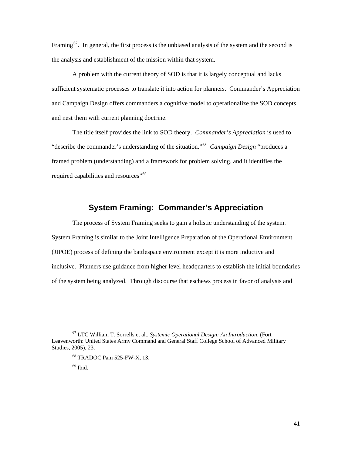<span id="page-45-0"></span>Framing<sup>[67](#page-45-1)</sup>. In general, the first process is the unbiased analysis of the system and the second is the analysis and establishment of the mission within that system.

A problem with the current theory of SOD is that it is largely conceptual and lacks sufficient systematic processes to translate it into action for planners. Commander's Appreciation and Campaign Design offers commanders a cognitive model to operationalize the SOD concepts and nest them with current planning doctrine.

The title itself provides the link to SOD theory. *Commander's Appreciation* is used to "describe the commander's understanding of the situation."[68](#page-45-2) *Campaign Design* "produces a framed problem (understanding) and a framework for problem solving, and it identifies the required capabilities and resources"<sup>[69](#page-45-3)</sup>

# **System Framing: Commander's Appreciation**

The process of System Framing seeks to gain a holistic understanding of the system. System Framing is similar to the Joint Intelligence Preparation of the Operational Environment (JIPOE) process of defining the battlespace environment except it is more inductive and inclusive. Planners use guidance from higher level headquarters to establish the initial boundaries of the system being analyzed. Through discourse that eschews process in favor of analysis and

68 TRADOC Pam 525-FW-X, 13.

 $69$  Ibid.

 $\overline{\phantom{a}}$ 

<span id="page-45-3"></span><span id="page-45-2"></span><span id="page-45-1"></span><sup>67</sup> LTC William T. Sorrells et al., *Systemic Operational Design: An Introduction*, (Fort Leavenworth: United States Army Command and General Staff College School of Advanced Military Studies, 2005), 23.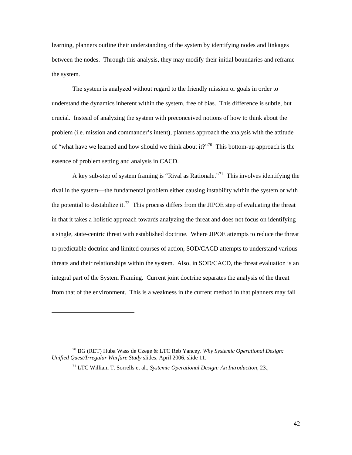learning, planners outline their understanding of the system by identifying nodes and linkages between the nodes. Through this analysis, they may modify their initial boundaries and reframe the system.

The system is analyzed without regard to the friendly mission or goals in order to understand the dynamics inherent within the system, free of bias. This difference is subtle, but crucial. Instead of analyzing the system with preconceived notions of how to think about the problem (i.e. mission and commander's intent), planners approach the analysis with the attitude of "what have we learned and how should we think about it?"<sup>[70](#page-46-0)</sup> This bottom-up approach is the essence of problem setting and analysis in CACD.

A key sub-step of system framing is "Rival as Rationale."[71](#page-46-1) This involves identifying the rival in the system—the fundamental problem either causing instability within the system or with the potential to destabilize it.<sup>[72](#page-46-2)</sup> This process differs from the JIPOE step of evaluating the threat in that it takes a holistic approach towards analyzing the threat and does not focus on identifying a single, state-centric threat with established doctrine. Where JIPOE attempts to reduce the threat to predictable doctrine and limited courses of action, SOD/CACD attempts to understand various threats and their relationships within the system. Also, in SOD/CACD, the threat evaluation is an integral part of the System Framing. Current joint doctrine separates the analysis of the threat from that of the environment. This is a weakness in the current method in that planners may fail

<span id="page-46-2"></span> $\overline{\phantom{a}}$ 

42

<span id="page-46-1"></span><span id="page-46-0"></span><sup>70</sup> BG (RET) Huba Wass de Czege & LTC Reb Yancey. *Why Systemic Operational Design: Unified Quest/Irregular Warfare Study* slides, April 2006, slide 11.

<sup>71</sup> LTC William T. Sorrells et al., *Systemic Operational Design: An Introduction*, 23.,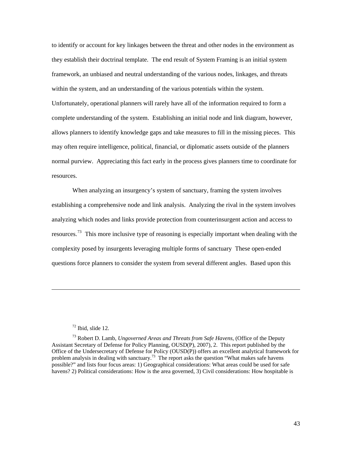to identify or account for key linkages between the threat and other nodes in the environment as they establish their doctrinal template. The end result of System Framing is an initial system framework, an unbiased and neutral understanding of the various nodes, linkages, and threats within the system, and an understanding of the various potentials within the system. Unfortunately, operational planners will rarely have all of the information required to form a complete understanding of the system. Establishing an initial node and link diagram, however, allows planners to identify knowledge gaps and take measures to fill in the missing pieces. This may often require intelligence, political, financial, or diplomatic assets outside of the planners normal purview. Appreciating this fact early in the process gives planners time to coordinate for resources.

When analyzing an insurgency's system of sanctuary, framing the system involves establishing a comprehensive node and link analysis. Analyzing the rival in the system involves analyzing which nodes and links provide protection from counterinsurgent action and access to resources.<sup>[73](#page-47-0)</sup> This more inclusive type of reasoning is especially important when dealing with the complexity posed by insurgents leveraging multiple forms of sanctuary These open-ended questions force planners to consider the system from several different angles. Based upon this

#### $72$  Ibid, slide 12.

<span id="page-47-0"></span><sup>73</sup> Robert D. Lamb, *Ungoverned Areas and Threats from Safe Havens*, (Office of the Deputy Assistant Secretary of Defense for Policy Planning, OUSD(P), 2007), 2. This report published by the Office of the Undersecretary of Defense for Policy (OUSD(P)) offers an excellent analytical framework for problem analysis in dealing with sanctuary.<sup>73</sup> The report asks the question "What makes safe havens" possible?" and lists four focus areas: 1) Geographical considerations: What areas could be used for safe havens? 2) Political considerations: How is the area governed, 3) Civil considerations: How hospitable is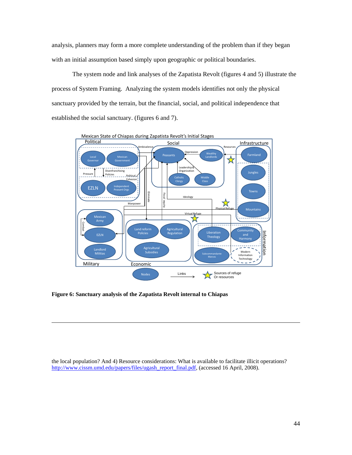analysis, planners may form a more complete understanding of the problem than if they began with an initial assumption based simply upon geographic or political boundaries.

The system node and link analyses of the Zapatista Revolt (figures 4 and 5) illustrate the process of System Framing. Analyzing the system models identifies not only the physical sanctuary provided by the terrain, but the financial, social, and political independence that established the social sanctuary. (figures 6 and 7).



**Figure 6: Sanctuary analysis of the Zapatista Revolt internal to Chiapas** 

 $\overline{\phantom{a}}$ 

the local population? And 4) Resource considerations: What is available to facilitate illicit operations? [http://www.cissm.umd.edu/papers/files/ugash\\_report\\_final.pdf](http://www.cissm.umd.edu/papers/files/ugash_report_final.pdf), (accessed 16 April, 2008).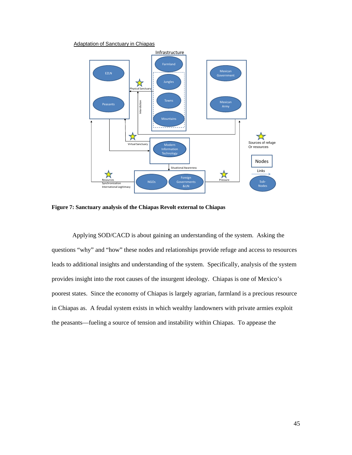#### Adaptation of Sanctuary in Chiapas



**Figure 7: Sanctuary analysis of the Chiapas Revolt external to Chiapas** 

Applying SOD/CACD is about gaining an understanding of the system. Asking the questions "why" and "how" these nodes and relationships provide refuge and access to resources leads to additional insights and understanding of the system. Specifically, analysis of the system provides insight into the root causes of the insurgent ideology. Chiapas is one of Mexico's poorest states. Since the economy of Chiapas is largely agrarian, farmland is a precious resource in Chiapas as. A feudal system exists in which wealthy landowners with private armies exploit the peasants—fueling a source of tension and instability within Chiapas. To appease the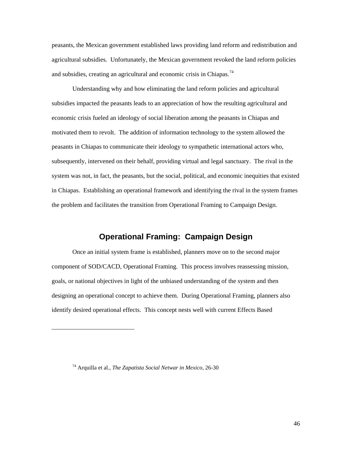<span id="page-50-0"></span>peasants, the Mexican government established laws providing land reform and redistribution and agricultural subsidies. Unfortunately, the Mexican government revoked the land reform policies and subsidies, creating an agricultural and economic crisis in Chiapas.<sup>[74](#page-50-1)</sup>

Understanding why and how eliminating the land reform policies and agricultural subsidies impacted the peasants leads to an appreciation of how the resulting agricultural and economic crisis fueled an ideology of social liberation among the peasants in Chiapas and motivated them to revolt. The addition of information technology to the system allowed the peasants in Chiapas to communicate their ideology to sympathetic international actors who, subsequently, intervened on their behalf, providing virtual and legal sanctuary. The rival in the system was not, in fact, the peasants, but the social, political, and economic inequities that existed in Chiapas. Establishing an operational framework and identifying the rival in the system frames the problem and facilitates the transition from Operational Framing to Campaign Design.

# **Operational Framing: Campaign Design**

Once an initial system frame is established, planners move on to the second major component of SOD/CACD, Operational Framing. This process involves reassessing mission, goals, or national objectives in light of the unbiased understanding of the system and then designing an operational concept to achieve them. During Operational Framing, planners also identify desired operational effects. This concept nests well with current Effects Based

<span id="page-50-1"></span><sup>74</sup> Arquilla et al., *The Zapatista Social Netwar in Mexico*, 26-30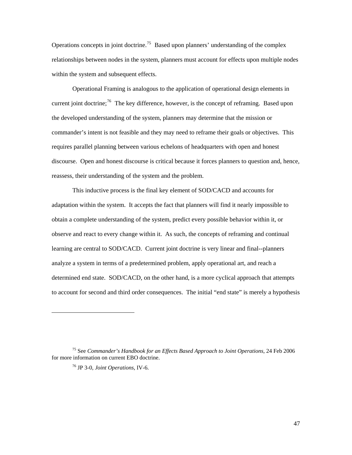Operations concepts in joint doctrine.<sup>[75](#page-51-0)</sup> Based upon planners' understanding of the complex relationships between nodes in the system, planners must account for effects upon multiple nodes within the system and subsequent effects.

Operational Framing is analogous to the application of operational design elements in current joint doctrine;<sup>[76](#page-51-1)</sup> The key difference, however, is the concept of reframing. Based upon the developed understanding of the system, planners may determine that the mission or commander's intent is not feasible and they may need to reframe their goals or objectives. This requires parallel planning between various echelons of headquarters with open and honest discourse. Open and honest discourse is critical because it forces planners to question and, hence, reassess, their understanding of the system and the problem.

This inductive process is the final key element of SOD/CACD and accounts for adaptation within the system. It accepts the fact that planners will find it nearly impossible to obtain a complete understanding of the system, predict every possible behavior within it, or observe and react to every change within it. As such, the concepts of reframing and continual learning are central to SOD/CACD. Current joint doctrine is very linear and final--planners analyze a system in terms of a predetermined problem, apply operational art, and reach a determined end state. SOD/CACD, on the other hand, is a more cyclical approach that attempts to account for second and third order consequences. The initial "end state" is merely a hypothesis

 $\overline{\phantom{a}}$ 

<span id="page-51-1"></span><span id="page-51-0"></span><sup>75</sup> See *Commander's Handbook for an Effects Based Approach to Joint Operations*, 24 Feb 2006 for more information on current EBO doctrine.

<sup>76</sup> JP 3-0, *Joint Operations*, IV-6.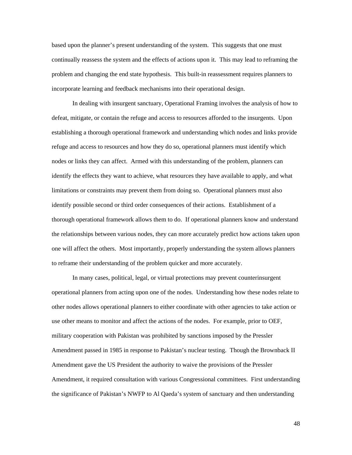based upon the planner's present understanding of the system. This suggests that one must continually reassess the system and the effects of actions upon it. This may lead to reframing the problem and changing the end state hypothesis. This built-in reassessment requires planners to incorporate learning and feedback mechanisms into their operational design.

In dealing with insurgent sanctuary, Operational Framing involves the analysis of how to defeat, mitigate, or contain the refuge and access to resources afforded to the insurgents. Upon establishing a thorough operational framework and understanding which nodes and links provide refuge and access to resources and how they do so, operational planners must identify which nodes or links they can affect. Armed with this understanding of the problem, planners can identify the effects they want to achieve, what resources they have available to apply, and what limitations or constraints may prevent them from doing so. Operational planners must also identify possible second or third order consequences of their actions. Establishment of a thorough operational framework allows them to do. If operational planners know and understand the relationships between various nodes, they can more accurately predict how actions taken upon one will affect the others. Most importantly, properly understanding the system allows planners to reframe their understanding of the problem quicker and more accurately.

In many cases, political, legal, or virtual protections may prevent counterinsurgent operational planners from acting upon one of the nodes. Understanding how these nodes relate to other nodes allows operational planners to either coordinate with other agencies to take action or use other means to monitor and affect the actions of the nodes. For example, prior to OEF, military cooperation with Pakistan was prohibited by sanctions imposed by the Pressler Amendment passed in 1985 in response to Pakistan's nuclear testing. Though the Brownback II Amendment gave the US President the authority to waive the provisions of the Pressler Amendment, it required consultation with various Congressional committees. First understanding the significance of Pakistan's NWFP to Al Qaeda's system of sanctuary and then understanding

48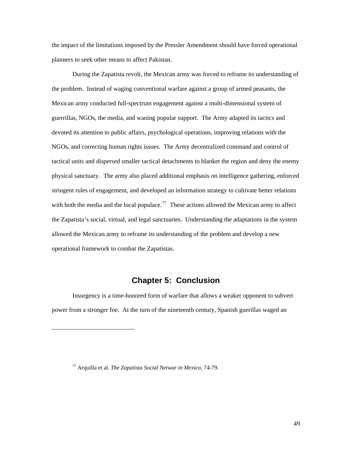<span id="page-53-0"></span>the impact of the limitations imposed by the Pressler Amendment should have forced operational planners to seek other means to affect Pakistan.

During the Zapatista revolt, the Mexican army was forced to reframe its understanding of the problem. Instead of waging conventional warfare against a group of armed peasants, the Mexican army conducted full-spectrum engagement against a multi-dimensional system of guerrillas, NGOs, the media, and waning popular support. The Army adapted its tactics and devoted its attention to public affairs, psychological operations, improving relations with the NGOs, and correcting human rights issues. The Army decentralized command and control of tactical units and dispersed smaller tactical detachments to blanket the region and deny the enemy physical sanctuary. The army also placed additional emphasis on intelligence gathering, enforced stringent rules of engagement, and developed an information strategy to cultivate better relations with both the media and the local populace.<sup>[77](#page-53-1)</sup> These actions allowed the Mexican army to affect the Zapatista's social, virtual, and legal sanctuaries. Understanding the adaptations in the system allowed the Mexican army to reframe its understanding of the problem and develop a new operational framework to combat the Zapatistas.

# **Chapter 5: Conclusion**

Insurgency is a time-honored form of warfare that allows a weaker opponent to subvert power from a stronger foe. At the turn of the nineteenth century, Spanish guerillas waged an

<span id="page-53-1"></span><sup>77</sup> Arquilla et al. *The Zapatista Social Netwar in Mexico*, 74-79.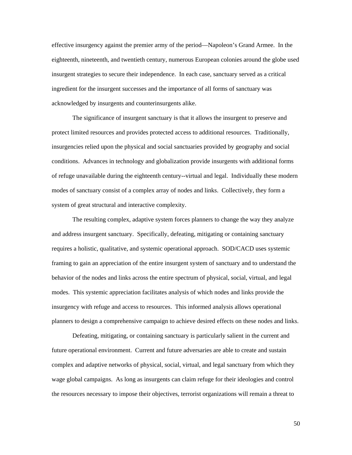effective insurgency against the premier army of the period—Napoleon's Grand Armee. In the eighteenth, nineteenth, and twentieth century, numerous European colonies around the globe used insurgent strategies to secure their independence. In each case, sanctuary served as a critical ingredient for the insurgent successes and the importance of all forms of sanctuary was acknowledged by insurgents and counterinsurgents alike.

The significance of insurgent sanctuary is that it allows the insurgent to preserve and protect limited resources and provides protected access to additional resources. Traditionally, insurgencies relied upon the physical and social sanctuaries provided by geography and social conditions. Advances in technology and globalization provide insurgents with additional forms of refuge unavailable during the eighteenth century--virtual and legal. Individually these modern modes of sanctuary consist of a complex array of nodes and links. Collectively, they form a system of great structural and interactive complexity.

The resulting complex, adaptive system forces planners to change the way they analyze and address insurgent sanctuary. Specifically, defeating, mitigating or containing sanctuary requires a holistic, qualitative, and systemic operational approach. SOD/CACD uses systemic framing to gain an appreciation of the entire insurgent system of sanctuary and to understand the behavior of the nodes and links across the entire spectrum of physical, social, virtual, and legal modes. This systemic appreciation facilitates analysis of which nodes and links provide the insurgency with refuge and access to resources. This informed analysis allows operational planners to design a comprehensive campaign to achieve desired effects on these nodes and links.

 Defeating, mitigating, or containing sanctuary is particularly salient in the current and future operational environment. Current and future adversaries are able to create and sustain complex and adaptive networks of physical, social, virtual, and legal sanctuary from which they wage global campaigns. As long as insurgents can claim refuge for their ideologies and control the resources necessary to impose their objectives, terrorist organizations will remain a threat to

50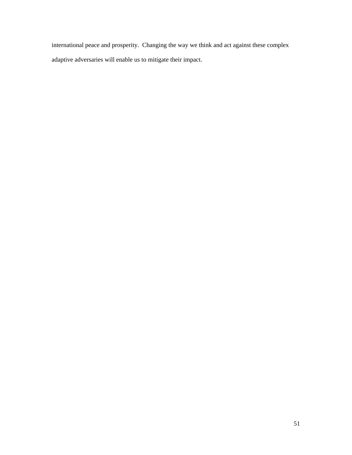international peace and prosperity. Changing the way we think and act against these complex adaptive adversaries will enable us to mitigate their impact.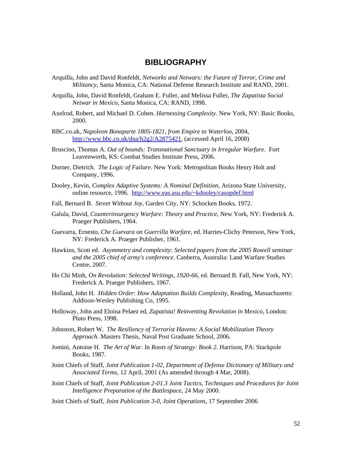# **BIBLIOGRAPHY**

- <span id="page-56-0"></span>Arquilla, John and David Ronfeldt, *Networks and Netwars: the Future of Terror, Crime and Militancy*, Santa Monica, CA: National Defense Research Institute and RAND, 2001.
- Arquilla, John, David Ronfeldt, Graham E. Fuller, and Melissa Fuller, *The Zapatista Social Netwar in Mexico*, Santa Monica, CA: RAND, 1998.
- Axelrod, Robert, and Michael D. Cohen. *Harnessing Complexity.* New York, NY: Basic Books, 2000.
- BBC.co.uk, *Napoleon Bonaparte 1805-1821, from Empire to Waterloo*, 2004, <http://www.bbc.co.uk/dna/h2g2/A2875421>, (accessed April 16, 2008)
- Bruscino, Thomas A. *Out of bounds: Transnational Sanctuary in Irregular Warfare*. Fort Leavenworth, KS: Combat Studies Institute Press, 2006.
- Dorner, Dietrich. *The Logic of Failure.* New York: Metropolitan Books Henry Holt and Company, 1996.
- Dooley, Kevin, *Complex Adaptive Systems: A Nominal Definition*, Arizona State University, online resource, 1996. [http://www.eas.asu.edu/~kdooley/casopdef.html](http://www.eas.asu.edu/%7Ekdooley/casopdef.html)
- Fall, Bernard B. *Street Without Joy*, Garden City, NY: Schocken Books, 1972.
- Galula, David, *Counterinsurgency Warfare: Theory and Practice*, New York, NY: Frederick A. Praeger Publishers, 1964.
- Guevarra, Ernesto, *Che Guevara on Guerrilla Warfare*, ed. Harries-Clichy Peterson, New York, NY: Frederick A. Praeger Publisher, 1961.
- Hawkins, Scott ed. *Asymmetry and complexity: Selected papers from the 2005 Rowell seminar and the 2005 chief of army's conference*. Canberra, Australia: Land Warfare Studies Centre, 2007.
- Ho Chi Minh, *On Revolution: Selected Writings, 1920-66*, ed. Bernard B. Fall, New York, NY: Frederick A. Praeger Publishers, 1967.
- Holland, John H. *Hidden Order: How Adaptation Builds Complexity*, Reading, Massachusetts: Addison-Wesley Publishing Co, 1995.
- Holloway, John and Eloina Pelaez ed, *Zapatista! Reinventing Revolution in Mexico*, London: Pluto Press, 1998.
- Johnston, Robert W. *The Resiliency of Terrorist Havens: A Social Mobilization Theory Approach*. Masters Thesis, Naval Post Graduate School, 2006.
- Jomini, Antoine H. *The Art of War.* In *Roots of Strategy: Book 2.* Harrison, PA: Stackpole Books, 1987.
- Joint Chiefs of Staff, *Joint Publication 1-02, Department of Defense Dictionary of Military and Associated Terms*, 12 April, 2001 (As amended through 4 Mar, 2008).
- Joint Chiefs of Staff, *Joint Publication 2-01.3 Joint Tactics, Techniques and Procedures for Joint Intelligence Preparation of the Battlespace*, 24 May 2000.
- Joint Chiefs of Staff, *Joint Publication 3-0, Joint Operations*, 17 September 2006